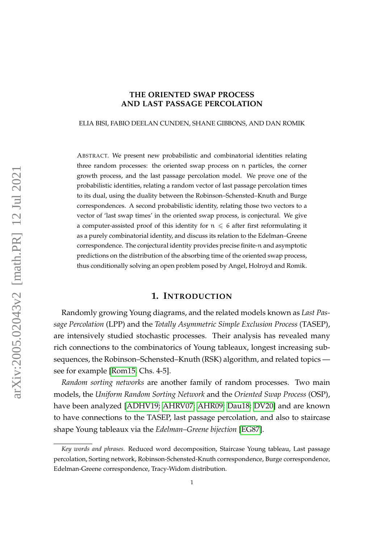## **THE ORIENTED SWAP PROCESS AND LAST PASSAGE PERCOLATION**

#### ELIA BISI, FABIO DEELAN CUNDEN, SHANE GIBBONS, AND DAN ROMIK

ABSTRACT. We present new probabilistic and combinatorial identities relating three random processes: the oriented swap process on n particles, the corner growth process, and the last passage percolation model. We prove one of the probabilistic identities, relating a random vector of last passage percolation times to its dual, using the duality between the Robinson–Schensted–Knuth and Burge correspondences. A second probabilistic identity, relating those two vectors to a vector of 'last swap times' in the oriented swap process, is conjectural. We give a computer-assisted proof of this identity for  $n \leq 6$  after first reformulating it as a purely combinatorial identity, and discuss its relation to the Edelman–Greene correspondence. The conjectural identity provides precise finite-n and asymptotic predictions on the distribution of the absorbing time of the oriented swap process, thus conditionally solving an open problem posed by Angel, Holroyd and Romik.

#### **1. INTRODUCTION**

<span id="page-0-0"></span>Randomly growing Young diagrams, and the related models known as *Last Passage Percolation* (LPP) and the *Totally Asymmetric Simple Exclusion Process* (TASEP), are intensively studied stochastic processes. Their analysis has revealed many rich connections to the combinatorics of Young tableaux, longest increasing subsequences, the Robinson–Schensted–Knuth (RSK) algorithm, and related topics see for example [\[Rom15,](#page-34-0) Chs. 4-5].

*Random sorting networks* are another family of random processes. Two main models, the *Uniform Random Sorting Network* and the *Oriented Swap Process* (OSP), have been analyzed [\[ADHV19;](#page-32-0) [AHRV07;](#page-32-1) [AHR09;](#page-32-2) [Dau18;](#page-33-0) [DV20\]](#page-33-1) and are known to have connections to the TASEP, last passage percolation, and also to staircase shape Young tableaux via the *Edelman–Greene bijection* [\[EG87\]](#page-33-2).

*Key words and phrases.* Reduced word decomposition, Staircase Young tableau, Last passage percolation, Sorting network, Robinson-Schensted-Knuth correspondence, Burge correspondence, Edelman-Greene correspondence, Tracy-Widom distribution.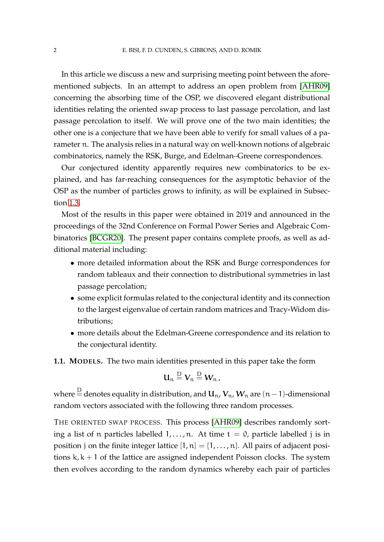In this article we discuss a new and surprising meeting point between the aforementioned subjects. In an attempt to address an open problem from [\[AHR09\]](#page-32-2) concerning the absorbing time of the OSP, we discovered elegant distributional identities relating the oriented swap process to last passage percolation, and last passage percolation to itself. We will prove one of the two main identities; the other one is a conjecture that we have been able to verify for small values of a parameter n. The analysis relies in a natural way on well-known notions of algebraic combinatorics, namely the RSK, Burge, and Edelman–Greene correspondences.

Our conjectured identity apparently requires new combinatorics to be explained, and has far-reaching consequences for the asymptotic behavior of the OSP as the number of particles grows to infinity, as will be explained in Subsection [1.3.](#page-6-0)

Most of the results in this paper were obtained in 2019 and announced in the proceedings of the 32nd Conference on Formal Power Series and Algebraic Combinatorics [\[BCGR20\]](#page-32-3). The present paper contains complete proofs, as well as additional material including:

- more detailed information about the RSK and Burge correspondences for random tableaux and their connection to distributional symmetries in last passage percolation;
- some explicit formulas related to the conjectural identity and its connection to the largest eigenvalue of certain random matrices and Tracy-Widom distributions;
- more details about the Edelman-Greene correspondence and its relation to the conjectural identity.

<span id="page-1-0"></span>**1.1. MODELS.** The two main identities presented in this paper take the form

$$
u_n \stackrel{D}{=} V_n \stackrel{D}{=} W_n,
$$

where  $\stackrel{\rm D}{=}$  denotes equality in distribution, and  ${\bf U}_\text{n}$ ,  ${\bf V}_\text{n}$ ,  ${\bf W}_\text{n}$  are  $(n-1)$ -dimensional random vectors associated with the following three random processes.

THE ORIENTED SWAP PROCESS. This process [\[AHR09\]](#page-32-2) describes randomly sorting a list of n particles labelled  $1, \ldots, n$ . At time  $t = 0$ , particle labelled j is in position j on the finite integer lattice  $[1, n] = \{1, \ldots, n\}$ . All pairs of adjacent positions  $k, k + 1$  of the lattice are assigned independent Poisson clocks. The system then evolves according to the random dynamics whereby each pair of particles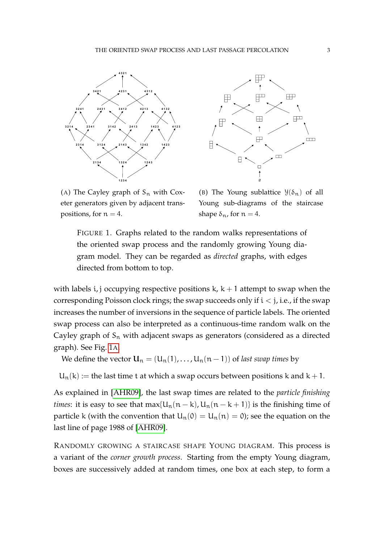<span id="page-2-0"></span>



(A) The Cayley graph of  $S_n$  with Coxeter generators given by adjacent transpositions, for  $n = 4$ .

(B) The Young sublattice  $\mathcal{Y}(\delta_n)$  of all Young sub-diagrams of the staircase shape  $\delta_n$ , for  $n = 4$ .

FIGURE 1. Graphs related to the random walks representations of the oriented swap process and the randomly growing Young diagram model. They can be regarded as *directed* graphs, with edges directed from bottom to top.

with labels *i*, j occupying respective positions  $k$ ,  $k + 1$  attempt to swap when the corresponding Poisson clock rings; the swap succeeds only if  $i < j$ , i.e., if the swap increases the number of inversions in the sequence of particle labels. The oriented swap process can also be interpreted as a continuous-time random walk on the Cayley graph of  $S_n$  with adjacent swaps as generators (considered as a directed graph). See Fig. [1](#page-2-0)A.

We define the vector  $U_n = (U_n(1), \ldots, U_n(n-1))$  of *last swap times* by

 $U_n(k) :=$  the last time t at which a swap occurs between positions k and  $k + 1$ .

As explained in [\[AHR09\]](#page-32-2), the last swap times are related to the *particle finishing times*: it is easy to see that max{ $U_n(n - k)$ ,  $U_n(n - k + 1)$ } is the finishing time of particle k (with the convention that  $U_n(0) = U_n(n) = 0$ ); see the equation on the last line of page 1988 of [\[AHR09\]](#page-32-2).

RANDOMLY GROWING A STAIRCASE SHAPE YOUNG DIAGRAM. This process is a variant of the *corner growth process*. Starting from the empty Young diagram, boxes are successively added at random times, one box at each step, to form a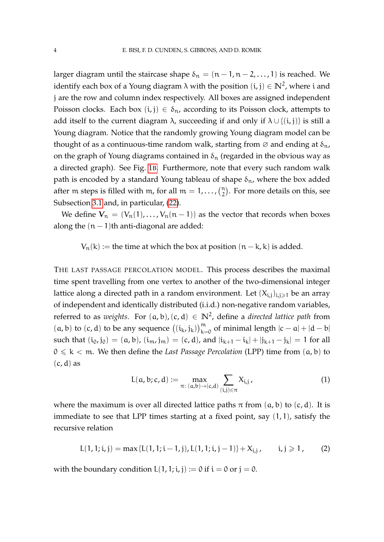larger diagram until the staircase shape  $\delta_n = (n-1, n-2, \ldots, 1)$  is reached. We identify each box of a Young diagram  $\lambda$  with the position  $(\mathfrak{i},\mathfrak{j})\in\mathbb{N}^2$ , where  $\mathfrak{i}$  and j are the row and column index respectively. All boxes are assigned independent Poisson clocks. Each box  $(i, j) \in \delta_n$ , according to its Poisson clock, attempts to add itself to the current diagram  $\lambda$ , succeeding if and only if  $\lambda \cup \{(i,j)\}$  is still a Young diagram. Notice that the randomly growing Young diagram model can be thought of as a continuous-time random walk, starting from  $\varnothing$  and ending at  $\delta_{\rm n}$ , on the graph of Young diagrams contained in  $\delta_n$  (regarded in the obvious way as a directed graph). See Fig. [1](#page-2-0)B. Furthermore, note that every such random walk path is encoded by a standard Young tableau of shape  $\delta_{n}$ , where the box added after m steps is filled with m, for all  $m = 1, ..., {n \choose 2}$ . For more details on this, see Subsection [3.1](#page-16-0) and, in particular, [\(22\)](#page-17-0).

We define  $V_n = (V_n(1), \ldots, V_n(n-1))$  as the vector that records when boxes along the  $(n - 1)$ th anti-diagonal are added:

 $V_n(k) :=$  the time at which the box at position  $(n - k, k)$  is added.

THE LAST PASSAGE PERCOLATION MODEL. This process describes the maximal time spent travelling from one vertex to another of the two-dimensional integer lattice along a directed path in a random environment. Let  $(X_{i,j})_{i,j\geq 1}$  be an array of independent and identically distributed (i.i.d.) non-negative random variables, referred to as *weights*. For (a, b),(c, d) ∈ **N**<sup>2</sup> , define a *directed lattice path* from  $(a, b)$  to  $(c, d)$  to be any sequence  $((i_k, j_k))_{k=0}^m$  of minimal length  $|c - a| + |d - b|$ such that  $(i_0, j_0) = (a, b)$ ,  $(i_m, j_m) = (c, d)$ , and  $|i_{k+1} - i_k| + |j_{k+1} - j_k| = 1$  for all  $0 \le k < m$ . We then define the *Last Passage Percolation* (LPP) time from  $(a, b)$  to  $(c, d)$  as

<span id="page-3-1"></span>
$$
L(a, b; c, d) := \max_{\pi: (a, b) \to (c, d)} \sum_{(i,j) \in \pi} X_{i,j},
$$
 (1)

where the maximum is over all directed lattice paths  $\pi$  from  $(a, b)$  to  $(c, d)$ . It is immediate to see that LPP times starting at a fixed point, say (1, 1), satisfy the recursive relation

<span id="page-3-0"></span>
$$
L(1, 1; i, j) = \max\{L(1, 1; i - 1, j), L(1, 1; i, j - 1)\} + X_{i, j}, \qquad i, j \geq 1, \qquad (2)
$$

with the boundary condition  $L(1, 1; i, j) := 0$  if  $i = 0$  or  $j = 0$ .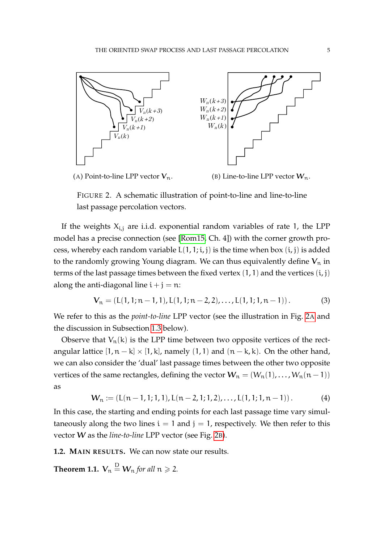<span id="page-4-0"></span>

(A) Point-to-line LPP vector  $V_n$ .

(B) Line-to-line LPP vector  $W_n$ .

FIGURE 2. A schematic illustration of point-to-line and line-to-line last passage percolation vectors.

If the weights  $X_{i,j}$  are i.i.d. exponential random variables of rate 1, the LPP model has a precise connection (see [\[Rom15,](#page-34-0) Ch. 4]) with the corner growth process, whereby each random variable  $L(1, 1; i, j)$  is the time when box  $(i, j)$  is added to the randomly growing Young diagram. We can thus equivalently define  $V_n$  in terms of the last passage times between the fixed vertex  $(1, 1)$  and the vertices  $(i, j)$ along the anti-diagonal line  $i + j = n$ :

$$
\mathbf{V}_n = (L(1,1;n-1,1), L(1,1;n-2,2), \dots, L(1,1;1,n-1)). \tag{3}
$$

We refer to this as the *point-to-line* LPP vector (see the illustration in Fig. [2](#page-4-0)A and the discussion in Subsection [1.3](#page-6-0) below).

Observe that  $V_n(k)$  is the LPP time between two opposite vertices of the rectangular lattice  $[1, n - k] \times [1, k]$ , namely  $(1, 1)$  and  $(n - k, k)$ . On the other hand, we can also consider the 'dual' last passage times between the other two opposite vertices of the same rectangles, defining the vector  $W_n = (W_n(1), \ldots, W_n(n-1))$ as

$$
W_n := (L(n-1,1;1,1), L(n-2,1;1,2), \ldots, L(1,1;1,n-1)). \tag{4}
$$

In this case, the starting and ending points for each last passage time vary simultaneously along the two lines  $i = 1$  and  $j = 1$ , respectively. We then refer to this vector W as the *line-to-line* LPP vector (see Fig. [2](#page-4-0)B).

**1.2. MAIN RESULTS.** We can now state our results.

<span id="page-4-1"></span>**Theorem 1.1.**  $\mathbf{V}_\mathfrak{n} \stackrel{\mathrm{D}}{=} \mathbf{W}_\mathfrak{n}$  *for all*  $\mathfrak{n} \geqslant 2$ *.*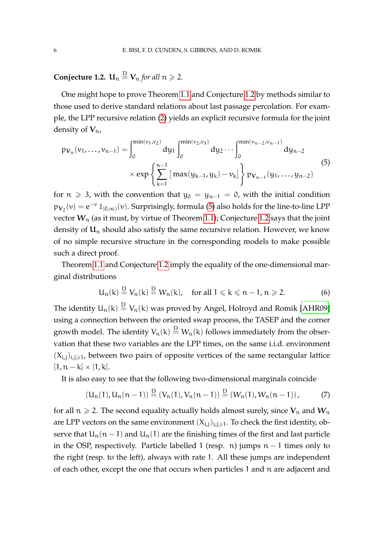<span id="page-5-0"></span>**Conjecture 1.2.**  $\mathbf{U}_n \overset{\mathbf{D}}{=} \mathbf{V}_n$  *for all*  $n \geqslant 2$ *.* 

One might hope to prove Theorem [1.1](#page-4-1) and Conjecture [1.2](#page-5-0) by methods similar to those used to derive standard relations about last passage percolation. For example, the LPP recursive relation [\(2\)](#page-3-0) yields an explicit recursive formula for the joint density of  $V_{n}$ ,

<span id="page-5-1"></span>
$$
p_{\mathbf{V}_n}(\nu_1, \dots, \nu_{n-1}) = \int_0^{\min(\nu_1, \nu_2)} dy_1 \int_0^{\min(\nu_2, \nu_3)} dy_2 \dots \int_0^{\min(\nu_{n-2}, \nu_{n-1})} dy_{n-2}
$$
  
 
$$
\times \exp\left\{\sum_{k=1}^{n-1} \left[\max(y_{k-1}, y_k) - \nu_k\right] \right\} p_{\mathbf{V}_{n-1}}(y_1, \dots, y_{n-2})
$$
(5)

for  $n \ge 3$ , with the convention that  $y_0 = y_{n-1} = 0$ , with the initial condition  $p_{V_2}(v) = e^{-v} 1\!\!1_{[0,\infty)}(v)$ . Surprisingly, formula [\(5\)](#page-5-1) also holds for the line-to-line LPP vector  $W_n$  (as it must, by virtue of Theorem [1.1\)](#page-4-1); Conjecture [1.2](#page-5-0) says that the joint density of  $U_n$  should also satisfy the same recursive relation. However, we know of no simple recursive structure in the corresponding models to make possible such a direct proof.

Theorem [1.1](#page-4-1) and Conjecture [1.2](#page-5-0) imply the equality of the one-dimensional marginal distributions

$$
U_n(k) \stackrel{D}{=} V_n(k) \stackrel{D}{=} W_n(k), \quad \text{for all } 1 \leqslant k \leqslant n-1, n \geqslant 2. \tag{6}
$$

The identity  $\mathsf{U}_\mathfrak{n}(\mathsf{k})\stackrel{\mathsf{D}}{=} \mathsf{V}_\mathfrak{n}(\mathsf{k})$  was proved by Angel, Holroyd and Romik [\[AHR09\]](#page-32-2) using a connection between the oriented swap process, the TASEP and the corner growth model. The identity  $V_n(k)\stackrel{\rm D}{=}W_n(k)$  follows immediately from the observation that these two variables are the LPP times, on the same i.i.d. environment  $(X_{i,j})_{i,j\geq 1}$ , between two pairs of opposite vertices of the same rectangular lattice  $[1, n - k] \times [1, k].$ 

It is also easy to see that the following two-dimensional marginals coincide

$$
(U_n(1), U_n(n-1)) \stackrel{D}{=} (V_n(1), V_n(n-1)) \stackrel{D}{=} (W_n(1), W_n(n-1)), \tag{7}
$$

for all  $n \ge 2$ . The second equality actually holds almost surely, since  $V_n$  and  $W_n$ are LPP vectors on the same environment  $(X_{i,j})_{i,j\geq 1}$ . To check the first identity, observe that  $U_n(n-1)$  and  $U_n(1)$  are the finishing times of the first and last particle in the OSP, respectively. Particle labelled 1 (resp. n) jumps  $n - 1$  times only to the right (resp. to the left), always with rate 1. All these jumps are independent of each other, except the one that occurs when particles 1 and n are adjacent and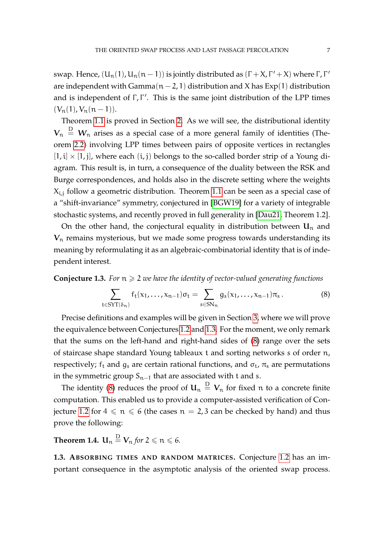swap. Hence,  $(U_n(1), U_n(n-1))$  is jointly distributed as  $(Γ + X, Γ' + X)$  where  $Γ, Γ'$ are independent with Gamma $(n-2, 1)$  distribution and X has  $Exp(1)$  distribution and is independent of  $\Gamma$ ,  $\Gamma'$ . This is the same joint distribution of the LPP times  $(V_n(1), V_n(n-1)).$ 

Theorem [1.1](#page-4-1) is proved in Section [2.](#page-9-0) As we will see, the distributional identity  $\bm V_\text{n} \, \stackrel{\text{D}}{=} \, \bm W_\text{n}$  arises as a special case of a more general family of identities (Theorem [2.2\)](#page-10-0) involving LPP times between pairs of opposite vertices in rectangles  $[1, i] \times [1, j]$ , where each  $(i, j)$  belongs to the so-called border strip of a Young diagram. This result is, in turn, a consequence of the duality between the RSK and Burge correspondences, and holds also in the discrete setting where the weights  $X_{i,j}$  follow a geometric distribution. Theorem [1.1](#page-4-1) can be seen as a special case of a "shift-invariance" symmetry, conjectured in [\[BGW19\]](#page-33-3) for a variety of integrable stochastic systems, and recently proved in full generality in [\[Dau21,](#page-33-4) Theorem 1.2].

On the other hand, the conjectural equality in distribution between  $\mathbf{u}_n$  and  $V_n$  remains mysterious, but we made some progress towards understanding its meaning by reformulating it as an algebraic-combinatorial identity that is of independent interest.

<span id="page-6-1"></span>**Conjecture 1.3.** *For* n > 2 *we have the identity of vector-valued generating functions*

<span id="page-6-2"></span>
$$
\sum_{\mathfrak{t}\in \text{SYT}(\delta_n)} f_{\mathfrak{t}}(x_1,\ldots,x_{n-1})\sigma_{\mathfrak{t}} = \sum_{s\in \text{SN}_n} g_s(x_1,\ldots,x_{n-1})\pi_s.
$$
 (8)

Precise definitions and examples will be given in Section [3,](#page-16-1) where we will prove the equivalence between Conjectures [1.2](#page-5-0) and [1.3.](#page-6-1) For the moment, we only remark that the sums on the left-hand and right-hand sides of [\(8\)](#page-6-2) range over the sets of staircase shape standard Young tableaux t and sorting networks s of order n, respectively;  $f_t$  and  $g_s$  are certain rational functions, and  $\sigma_t$ ,  $\pi_s$  are permutations in the symmetric group  $S_{n-1}$  that are associated with t and s.

The identity [\(8\)](#page-6-2) reduces the proof of  ${\bf U}_n\stackrel{\rm D}{=} {\bf V}_n$  for fixed  $n$  to a concrete finite computation. This enabled us to provide a computer-assisted verification of Con-jecture [1.2](#page-5-0) for  $4 \le n \le 6$  (the cases  $n = 2, 3$  can be checked by hand) and thus prove the following:

<span id="page-6-3"></span>Theorem 1.4.  $\mathbf{U}_\mathfrak{n} \overset{\mathrm{D}}{=} \mathbf{V}_\mathfrak{n}$  *for* 2  $\leqslant$   $\mathfrak{n} \leqslant$  6*.* 

<span id="page-6-0"></span>**1.3. ABSORBING TIMES AND RANDOM MATRICES.** Conjecture [1.2](#page-5-0) has an important consequence in the asymptotic analysis of the oriented swap process.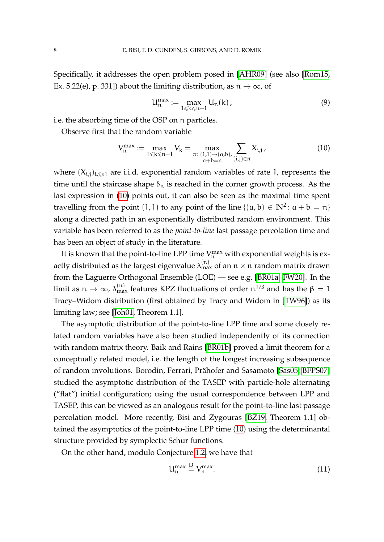Specifically, it addresses the open problem posed in [\[AHR09\]](#page-32-2) (see also [\[Rom15,](#page-34-0) Ex. 5.22(e), p. 331]) about the limiting distribution, as  $n \to \infty$ , of

<span id="page-7-1"></span>
$$
U_n^{\max} := \max_{1 \leq k \leq n-1} U_n(k), \qquad (9)
$$

i.e. the absorbing time of the OSP on n particles.

Observe first that the random variable

<span id="page-7-0"></span>
$$
V_n^{\max} := \max_{1 \le k \le n-1} V_k = \max_{\substack{\pi:\ (1,1) \to (a,b), \\ a+b=n}} \sum_{(i,j) \in \pi} X_{i,j},\tag{10}
$$

where  $(X_{i,j})_{i,j\geq 1}$  are i.i.d. exponential random variables of rate 1, represents the time until the staircase shape  $\delta_n$  is reached in the corner growth process. As the last expression in [\(10\)](#page-7-0) points out, it can also be seen as the maximal time spent travelling from the point (1, 1) to any point of the line  $\{(a, b) \in \mathbb{N}^2 \colon a + b = n\}$ along a directed path in an exponentially distributed random environment. This variable has been referred to as the *point-to-line* last passage percolation time and has been an object of study in the literature.

It is known that the point-to-line LPP time  $V_n^{\max}$  with exponential weights is exactly distributed as the largest eigenvalue  $\lambda_{\max}^{(\mathrm{n})}$  of an  $\mathfrak{n}\times\mathfrak{n}$  random matrix drawn from the Laguerre Orthogonal Ensemble (LOE) — see e.g. [\[BR01a;](#page-32-4) [FW20\]](#page-33-5). In the limit as  $n \to \infty$ ,  $\lambda_{\text{max}}^{(n)}$  features KPZ fluctuations of order  $n^{1/3}$  and has the  $\beta = 1$ Tracy–Widom distribution (first obtained by Tracy and Widom in [\[TW96\]](#page-34-1)) as its limiting law; see [\[Joh01,](#page-34-2) Theorem 1.1].

The asymptotic distribution of the point-to-line LPP time and some closely related random variables have also been studied independently of its connection with random matrix theory. Baik and Rains [\[BR01b\]](#page-32-5) proved a limit theorem for a conceptually related model, i.e. the length of the longest increasing subsequence of random involutions. Borodin, Ferrari, Prahofer and Sasamoto [\[Sas05;](#page-34-3) [BFPS07\]](#page-33-6) ¨ studied the asymptotic distribution of the TASEP with particle-hole alternating ("flat") initial configuration; using the usual correspondence between LPP and TASEP, this can be viewed as an analogous result for the point-to-line last passage percolation model. More recently, Bisi and Zygouras [\[BZ19,](#page-32-6) Theorem 1.1] obtained the asymptotics of the point-to-line LPP time [\(10\)](#page-7-0) using the determinantal structure provided by symplectic Schur functions.

On the other hand, modulo Conjecture [1.2,](#page-5-0) we have that

<span id="page-7-2"></span>
$$
U_n^{\max} \stackrel{D}{=} V_n^{\max}.
$$
 (11)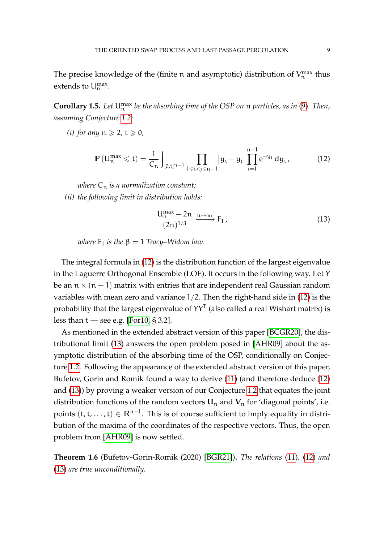The precise knowledge of the (finite n and asymptotic) distribution of  $V_n^{\max}$  thus extends to  $U_n^{\max}$ .

**Corollary 1.5.** *Let* Umax <sup>n</sup> *be the absorbing time of the OSP on* n *particles, as in* [\(9\)](#page-7-1)*. Then, assuming Conjecture [1.2:](#page-5-0)*

*(i) for any*  $n \ge 2$ *,*  $t \ge 0$ *,* 

<span id="page-8-0"></span>
$$
\mathbb{P}\left(U_n^{\max} \leqslant t\right) = \frac{1}{C_n} \int_{[0,t]^{n-1}} \prod_{1 \leqslant i < j \leqslant n-1} |y_i - y_j| \prod_{i=1}^{n-1} e^{-y_i} \, dy_i, \tag{12}
$$

*where*  $C_n$  *is a normalization constant; (ii) the following limit in distribution holds:*

<span id="page-8-1"></span>
$$
\frac{U_n^{\max} - 2n}{(2n)^{1/3}} \xrightarrow{n \to \infty} F_1,
$$
\n(13)

*where*  $F_1$  *is the*  $\beta = 1$  *Tracy–Widom law.* 

The integral formula in [\(12\)](#page-8-0) is the distribution function of the largest eigenvalue in the Laguerre Orthogonal Ensemble (LOE). It occurs in the following way. Let Y be an  $n \times (n-1)$  matrix with entries that are independent real Gaussian random variables with mean zero and variance 1/2. Then the right-hand side in [\(12\)](#page-8-0) is the probability that the largest eigenvalue of  $YY^{\mathsf{T}}$  (also called a real Wishart matrix) is less than  $t$  — see e.g. [\[For10,](#page-33-7) § 3.2].

As mentioned in the extended abstract version of this paper [\[BCGR20\]](#page-32-3), the distributional limit [\(13\)](#page-8-1) answers the open problem posed in [\[AHR09\]](#page-32-2) about the asymptotic distribution of the absorbing time of the OSP, conditionally on Conjecture [1.2.](#page-5-0) Following the appearance of the extended abstract version of this paper, Bufetov, Gorin and Romik found a way to derive [\(11\)](#page-7-2) (and therefore deduce [\(12\)](#page-8-0) and [\(13\)](#page-8-1)) by proving a weaker version of our Conjecture [1.2](#page-5-0) that equates the joint distribution functions of the random vectors  $U_n$  and  $V_n$  for 'diagonal points', i.e. points (t, t, . . . , t) ∈ **R**n−<sup>1</sup> . This is of course sufficient to imply equality in distribution of the maxima of the coordinates of the respective vectors. Thus, the open problem from [\[AHR09\]](#page-32-2) is now settled.

**Theorem 1.6** (Bufetov-Gorin-Romik (2020) [\[BGR21\]](#page-33-8))**.** *The relations* [\(11\)](#page-7-2)*,* [\(12\)](#page-8-0) *and* [\(13\)](#page-8-1) *are true unconditionally.*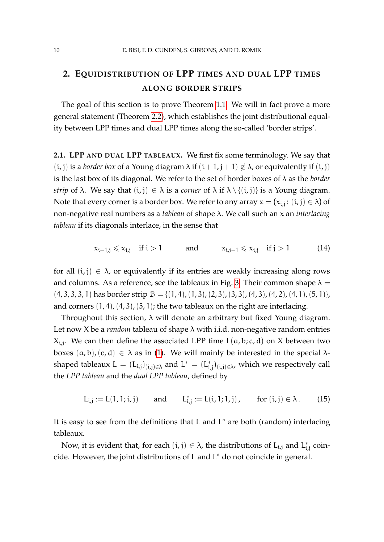# <span id="page-9-0"></span>**2. EQUIDISTRIBUTION OF LPP TIMES AND DUAL LPP TIMES ALONG BORDER STRIPS**

The goal of this section is to prove Theorem [1.1.](#page-4-1) We will in fact prove a more general statement (Theorem [2.2\)](#page-10-0), which establishes the joint distributional equality between LPP times and dual LPP times along the so-called 'border strips'.

**2.1. LPP AND DUAL LPP TABLEAUX.** We first fix some terminology. We say that (*i*, *j*) is a *border box* of a Young diagram  $\lambda$  if  $(i + 1, j + 1) \notin \lambda$ , or equivalently if  $(i, j)$ is the last box of its diagonal. We refer to the set of border boxes of λ as the *border strip* of  $\lambda$ . We say that  $(i, j) \in \lambda$  is a *corner* of  $\lambda$  if  $\lambda \setminus \{(i, j)\}$  is a Young diagram. Note that every corner is a border box. We refer to any array  $\mathsf{x} = \{\mathsf{x}_{\mathsf{i},\mathsf{j}}\colon (\mathsf{i},\mathsf{j}) \in \lambda\}$  of non-negative real numbers as a *tableau* of shape λ. We call such an x an *interlacing tableau* if its diagonals interlace, in the sense that

<span id="page-9-1"></span>
$$
x_{i-1,j} \leqslant x_{i,j} \quad \text{if } i > 1 \qquad \text{and} \qquad x_{i,j-1} \leqslant x_{i,j} \quad \text{if } j > 1 \tag{14}
$$

for all  $(i, j) \in \lambda$ , or equivalently if its entries are weakly increasing along rows and columns. As a reference, see the tableaux in Fig. [3.](#page-14-0) Their common shape  $\lambda =$  $(4, 3, 3, 3, 1)$  has border strip  $\mathcal{B} = \{(1, 4), (1, 3), (2, 3), (3, 3), (4, 3), (4, 2), (4, 1), (5, 1)\},$ and corners  $(1, 4)$ ,  $(4, 3)$ ,  $(5, 1)$ ; the two tableaux on the right are interlacing.

Throughout this section,  $\lambda$  will denote an arbitrary but fixed Young diagram. Let now X be a *random* tableau of shape λ with i.i.d. non-negative random entries  $X_{i,j}$ . We can then define the associated LPP time  $L(a,b;c,d)$  on X between two boxes  $(a, b), (c, d) \in \lambda$  as in [\(1\)](#page-3-1). We will mainly be interested in the special  $\lambda$ shaped tableaux  $L = (L_{i,j})_{(i,j)\in\lambda}$  and  $L^* = (L_i^*)$  $\left(\boldsymbol{\varepsilon}_{i,j}\right)_{\left(\boldsymbol{\varepsilon},j\right)\in\lambda}$ , which we respectively call the *LPP tableau* and the *dual LPP tableau*, defined by

$$
L_{i,j} := L(1,1;i,j) \quad \text{and} \quad L_{i,j}^* := L(i,1;1,j), \quad \text{for } (i,j) \in \lambda. \tag{15}
$$

It is easy to see from the definitions that L and L<sup>\*</sup> are both (random) interlacing tableaux.

Now, it is evident that, for each  $(i, j) \in \lambda$ , the distributions of  $L_{i,j}$  and  $L_i^*$  $_{\rm i,j}^{\rm *}$  coincide. However, the joint distributions of L and L <sup>∗</sup> do not coincide in general.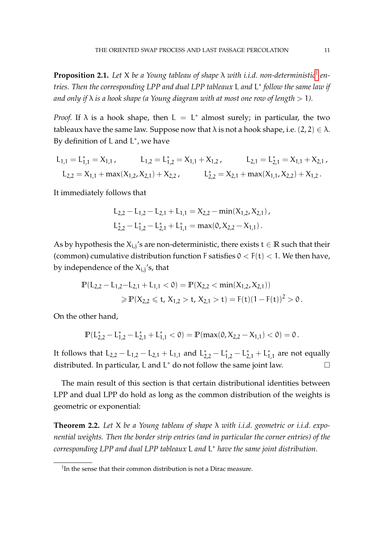<span id="page-10-2"></span>**Proposition 2.1.** *Let* X *be a Young tableau of shape* λ *with i.i.d. non-deterministic*[†](#page-10-1) *entries. Then the corresponding LPP and dual LPP tableaux* L *and* L ∗ *follow the same law if and only if* λ *is a hook shape (a Young diagram with at most one row of length* > 1*).*

*Proof.* If  $\lambda$  is a hook shape, then  $L = L^*$  almost surely; in particular, the two tableaux have the same law. Suppose now that  $\lambda$  is not a hook shape, i.e.  $(2, 2) \in \lambda$ . By definition of  $L$  and  $L^*$ , we have

$$
\begin{aligned} L_{1,1} &= L_{1,1}^* = X_{1,1} \,, \qquad L_{1,2} = L_{1,2}^* = X_{1,1} + X_{1,2} \,, \qquad L_{2,1} = L_{2,1}^* = X_{1,1} + X_{2,1} \,, \\ L_{2,2} &= X_{1,1} + \max(X_{1,2}, X_{2,1}) + X_{2,2} \,, \qquad \qquad L_{2,2}^* = X_{2,1} + \max(X_{1,1}, X_{2,2}) + X_{1,2} \,. \end{aligned}
$$

It immediately follows that

$$
L_{2,2} - L_{1,2} - L_{2,1} + L_{1,1} = X_{2,2} - \min(X_{1,2}, X_{2,1}),
$$
  

$$
L_{2,2}^{*} - L_{1,2}^{*} - L_{2,1}^{*} + L_{1,1}^{*} = \max(0, X_{2,2} - X_{1,1}).
$$

As by hypothesis the  $X_{i,j}$ 's are non-deterministic, there exists  $t \in \mathbb{R}$  such that their (common) cumulative distribution function F satisfies  $0 < F(t) < 1$ . We then have, by independence of the  $X_{\text{i},\text{j}}\text{'s}$ , that

$$
\begin{aligned} \mathbb{P}(L_{2,2} - L_{1,2} - L_{2,1} + L_{1,1} < 0) &= \mathbb{P}(X_{2,2} < \min(X_{1,2}, X_{2,1})) \\ &\geqslant \mathbb{P}(X_{2,2} \leqslant t, X_{1,2} > t, X_{2,1} > t) = \mathbb{F}(t)(1 - \mathbb{F}(t))^2 > 0 \,. \end{aligned}
$$

On the other hand,

$$
\mathbb{P}(L_{2,2}^*-L_{1,2}^*-L_{2,1}^*+L_{1,1}^*<0)=\mathbb{P}(\max(0,X_{2,2}-X_{1,1})<0)=0\,.
$$

It follows that  $L_{2,2} - L_{1,2} - L_{2,1} + L_{1,1}$  and  $L_{2,2}^{*} - L_{1,2}^{*} - L_{2,1}^{*} + L_{1}^{*}$  $_{1,1}^*$  are not equally distributed. In particular, L and  $L^*$  do not follow the same joint law.

The main result of this section is that certain distributional identities between LPP and dual LPP do hold as long as the common distribution of the weights is geometric or exponential:

<span id="page-10-0"></span>**Theorem 2.2.** *Let* X *be a Young tableau of shape* λ *with i.i.d. geometric or i.i.d. exponential weights. Then the border strip entries (and in particular the corner entries) of the corresponding LPP and dual LPP tableaux* L *and* L <sup>∗</sup> *have the same joint distribution.*

<span id="page-10-1"></span><sup>†</sup> In the sense that their common distribution is not a Dirac measure.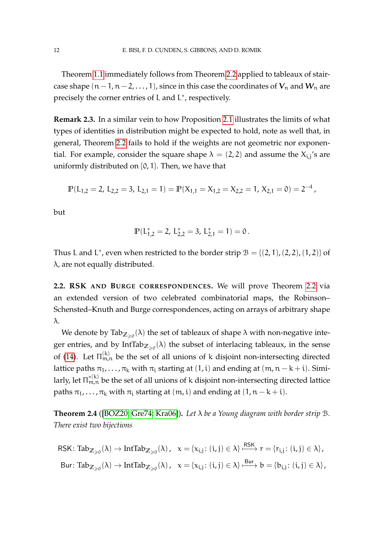Theorem [1.1](#page-4-1) immediately follows from Theorem [2.2](#page-10-0) applied to tableaux of staircase shape  $(n-1, n-2, \ldots, 1)$ , since in this case the coordinates of  $V_n$  and  $W_n$  are precisely the corner entries of L and L<sup>\*</sup>, respectively.

**Remark 2.3.** In a similar vein to how Proposition [2.1](#page-10-2) illustrates the limits of what types of identities in distribution might be expected to hold, note as well that, in general, Theorem [2.2](#page-10-0) fails to hold if the weights are not geometric nor exponential. For example, consider the square shape  $\lambda = (2, 2)$  and assume the  $X_{i,j}$ 's are uniformly distributed on {0, 1}. Then, we have that

$$
\mathbb{P}(L_{1,2}=2,\ L_{2,2}=3,\ L_{2,1}=1)=\mathbb{P}(X_{1,1}=X_{1,2}=X_{2,2}=1,\ X_{2,1}=0)=2^{-4},
$$

but

$$
\mathbb{P}(L_{1,2}^*=2,\,L_{2,2}^*=3,\,L_{2,1}^*=1)=0\,.
$$

Thus L and L<sup>\*</sup>, even when restricted to the border strip  $B = \{(2, 1), (2, 2), (1, 2)\}$  of λ, are not equally distributed.

**2.2. RSK AND BURGE CORRESPONDENCES.** We will prove Theorem [2.2](#page-10-0) via an extended version of two celebrated combinatorial maps, the Robinson– Schensted–Knuth and Burge correspondences, acting on arrays of arbitrary shape λ.

We denote by  $\textnormal{Tab}_{\mathbb{Z}_{\geqslant 0}}(\lambda)$  the set of tableaux of shape  $\lambda$  with non-negative integer entries, and by  $IntTab_{\mathbb{Z}_{\geqslant 0}}(\lambda)$  the subset of interlacing tableaux, in the sense of [\(14\)](#page-9-1). Let  $\Pi_{\mathfrak{m},\mathfrak{n}}^{(k)}$  be the set of all unions of k disjoint non-intersecting directed lattice paths  $\pi_1, \ldots, \pi_k$  with  $\pi_i$  starting at  $(1, i)$  and ending at  $(m, n - k + i)$ . Similarly, let  $\Pi^{*(\mathrm{k})}_{\mathfrak{m},\mathfrak{n}}$  be the set of all unions of k disjoint non-intersecting directed lattice paths  $\pi_1, \ldots, \pi_k$  with  $\pi_i$  starting at  $(m, i)$  and ending at  $(1, n - k + i)$ .

<span id="page-11-0"></span>**Theorem 2.4** ([\[BOZ20;](#page-32-7) [Gre74;](#page-33-9) [Kra06\]](#page-34-4))**.** *Let* λ *be a Young diagram with border strip* B*. There exist two bijections*

 $\mathsf{RSK}\colon \mathsf{Tab}_{\mathbb{Z}_{\geqslant 0}}(\lambda) \to \mathsf{IntTab}_{\mathbb{Z}_{\geqslant 0}}(\lambda)$ ,  $x = \{x_{\mathfrak{i},\mathfrak{j}}\colon (\mathfrak{i},\mathfrak{j})\in \lambda\} \xrightarrow{\mathsf{RSK}} r = \{r_{\mathfrak{i},\mathfrak{j}}\colon (\mathfrak{i},\mathfrak{j})\in \lambda\}$ ,  $\text{Bur: } \text{Tab}_{\mathbb{Z}_{\geqslant 0}}(\lambda) \to \text{IntTab}_{\mathbb{Z}_{\geqslant 0}}(\lambda)$ ,  $x = \{x_{i,j} \colon (i,j) \in \lambda\} \xrightarrow{\text{Bur}} b = \{b_{i,j} \colon (i,j) \in \lambda\}$ ,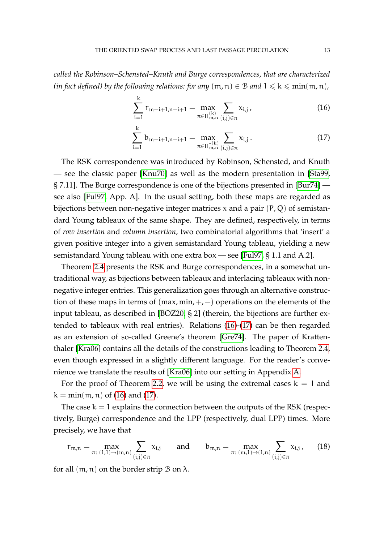*called the Robinson–Schensted–Knuth and Burge correspondences, that are characterized (in fact defined) by the following relations: for any*  $(m, n) \in B$  *and*  $1 \le k \le min(m, n)$ *,* 

<span id="page-12-0"></span>
$$
\sum_{i=1}^{k} r_{m-i+1,n-i+1} = \max_{\pi \in \Pi_{m,n}^{(k)}} \sum_{(i,j) \in \pi} x_{i,j},
$$
 (16)

<span id="page-12-1"></span>
$$
\sum_{i=1}^{k} b_{m-i+1,n-i+1} = \max_{\pi \in \Pi_{m,n}^{*(k)}} \sum_{(i,j) \in \pi} x_{i,j}.
$$
 (17)

The RSK correspondence was introduced by Robinson, Schensted, and Knuth — see the classic paper [\[Knu70\]](#page-34-5) as well as the modern presentation in [\[Sta99,](#page-34-6) § 7.11]. The Burge correspondence is one of the bijections presented in [\[Bur74\]](#page-33-10) see also [\[Ful97,](#page-33-11) App. A]. In the usual setting, both these maps are regarded as bijections between non-negative integer matrices  $x$  and a pair  $(P, Q)$  of semistandard Young tableaux of the same shape. They are defined, respectively, in terms of *row insertion* and *column insertion*, two combinatorial algorithms that 'insert' a given positive integer into a given semistandard Young tableau, yielding a new semistandard Young tableau with one extra box — see [\[Ful97,](#page-33-11) § 1.1 and A.2].

Theorem [2.4](#page-11-0) presents the RSK and Burge correspondences, in a somewhat untraditional way, as bijections between tableaux and interlacing tableaux with nonnegative integer entries. This generalization goes through an alternative construction of these maps in terms of  $(max, min, +, -)$  operations on the elements of the input tableau, as described in [\[BOZ20,](#page-32-7) § 2] (therein, the bijections are further extended to tableaux with real entries). Relations [\(16\)](#page-12-0)-[\(17\)](#page-12-1) can be then regarded as an extension of so-called Greene's theorem [\[Gre74\]](#page-33-9). The paper of Krattenthaler [\[Kra06\]](#page-34-4) contains all the details of the constructions leading to Theorem [2.4,](#page-11-0) even though expressed in a slightly different language. For the reader's convenience we translate the results of [\[Kra06\]](#page-34-4) into our setting in Appendix [A.](#page-30-0)

For the proof of Theorem [2.2,](#page-10-0) we will be using the extremal cases  $k = 1$  and  $k = min(m, n)$  of [\(16\)](#page-12-0) and [\(17\)](#page-12-1).

The case  $k = 1$  explains the connection between the outputs of the RSK (respectively, Burge) correspondence and the LPP (respectively, dual LPP) times. More precisely, we have that

<span id="page-12-2"></span>
$$
r_{m,n} = \max_{\pi: (1,1) \to (m,n)} \sum_{(i,j) \in \pi} x_{i,j} \quad \text{and} \quad b_{m,n} = \max_{\pi: (m,1) \to (1,n)} \sum_{(i,j) \in \pi} x_{i,j}, \quad (18)
$$

for all  $(m, n)$  on the border strip  $B$  on  $\lambda$ .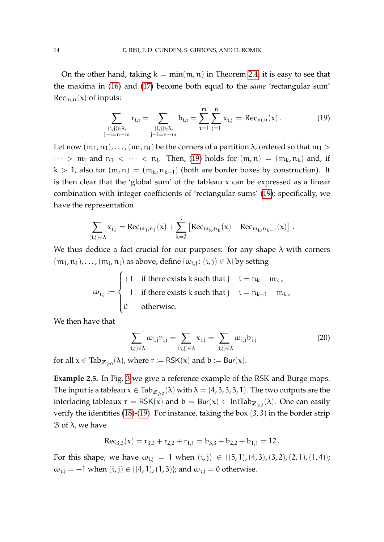On the other hand, taking  $k = min(m, n)$  in Theorem [2.4,](#page-11-0) it is easy to see that the maxima in [\(16\)](#page-12-0) and [\(17\)](#page-12-1) become both equal to the *same* 'rectangular sum'  $Rec_{m,n}(x)$  of inputs:

<span id="page-13-0"></span>
$$
\sum_{\substack{(i,j)\in\lambda,\\-i=n-m}} r_{i,j} = \sum_{\substack{(i,j)\in\lambda,\\j-i=n-m}} b_{i,j} = \sum_{i=1}^{m} \sum_{j=1}^{n} x_{i,j} =: \text{Rec}_{m,n}(x).
$$
 (19)

Let now  $(\mathfrak{m}_1,\mathfrak{n}_1),\ldots,(\mathfrak{m}_l,\mathfrak{n}_l)$  be the corners of a partition  $\lambda$ , ordered so that  $\mathfrak{m}_1>$  $\cdots$  >  $m_l$  and  $n_1$  <  $\cdots$  <  $n_l$ . Then, [\(19\)](#page-13-0) holds for  $(m, n) = (m_k, n_k)$  and, if k > 1, also for  $(m, n) = (m_k, n_{k-1})$  (both are border boxes by construction). It is then clear that the 'global sum' of the tableau  $x$  can be expressed as a linear combination with integer coefficients of 'rectangular sums' [\(19\)](#page-13-0); specifically, we have the representation

$$
\sum_{(i,j)\in\lambda} x_{i,j} = \text{Rec}_{m_1,n_1}(x) + \sum_{k=2}^{l} \left[ \text{Rec}_{m_k,n_k}(x) - \text{Rec}_{m_k,n_{k-1}}(x) \right] .
$$

We thus deduce a fact crucial for our purposes: for any shape  $\lambda$  with corners  $(m_1, n_1), \ldots, (m_l, n_l)$  as above, define  $\{ \omega_{i,j} : (i,j) \in \lambda \}$  by setting

$$
\omega_{i,j} := \begin{cases}\n+1 & \text{if there exists } k \text{ such that } j - i = n_k - m_k, \\
-1 & \text{if there exists } k \text{ such that } j - i = n_{k-1} - m_k, \\
0 & \text{otherwise.} \n\end{cases}
$$

We then have that

j−

<span id="page-13-1"></span>
$$
\sum_{(i,j)\in\lambda}\omega_{i,j}r_{i,j}=\sum_{(i,j)\in\lambda}x_{i,j}=\sum_{(i,j)\in\lambda}\omega_{i,j}b_{i,j}
$$
(20)

for all  $x \in \text{Tab}_{\mathbb{Z}_{\geqslant 0}}(\lambda)$ , where  $r := \text{RSK}(x)$  and  $b := \text{Bur}(x)$ .

**Example 2.5.** In Fig. [3](#page-14-0) we give a reference example of the RSK and Burge maps. The input is a tableau  $x\in \text{Tab}_{\mathbb{Z}_{\geqslant 0}}(\lambda)$  with  $\lambda=(4,3,3,3,1).$  The two outputs are the interlacing tableaux  $r = \mathsf{RSK}(x)$  and  $b = \mathsf{Bur}(x) \in \mathsf{IntTab}_{\mathbb{Z}_{\geqslant 0}}(\lambda)$ . One can easily verify the identities [\(18\)](#page-12-2)-[\(19\)](#page-13-0). For instance, taking the box  $(3, 3)$  in the border strip  $\beta$  of  $\lambda$ , we have

$$
Rec_{3,3}(x) = r_{3,3} + r_{2,2} + r_{1,1} = b_{3,3} + b_{2,2} + b_{1,1} = 12.
$$

For this shape, we have  $\omega_{i,j} = 1$  when  $(i,j) \in \{(5,1), (4,3), (3,2), (2,1), (1,4)\};$  $\omega_{i,j} = -1$  when  $(i, j) \in \{(4, 1), (1, 3)\}$ ; and  $\omega_{i,j} = 0$  otherwise.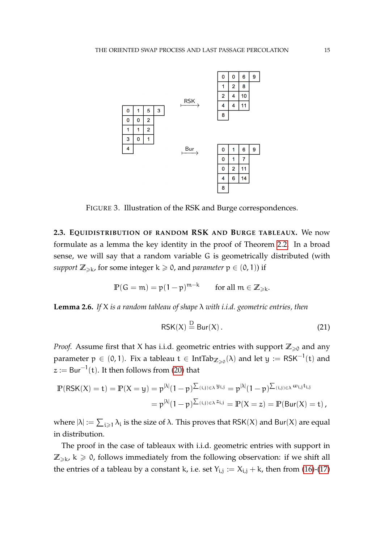<span id="page-14-0"></span>

FIGURE 3. Illustration of the RSK and Burge correspondences.

**2.3. EQUIDISTRIBUTION OF RANDOM RSK AND BURGE TABLEAUX.** We now formulate as a lemma the key identity in the proof of Theorem [2.2.](#page-10-0) In a broad sense, we will say that a random variable G is geometrically distributed (with *support*  $\mathbb{Z}_{\geqslant k}$ , for some integer  $k \geqslant 0$ , and *parameter*  $p \in (0,1)$  if

$$
\mathbb{P}(\mathsf{G}=\mathfrak{m})=\mathfrak{p}(1-\mathfrak{p})^{\mathfrak{m}-\mathsf{k}}\qquad\text{for all } \mathfrak{m}\in\mathbb{Z}_{\geqslant\mathsf{k}}.
$$

<span id="page-14-1"></span>**Lemma 2.6.** *If* X *is a random tableau of shape* λ *with i.i.d. geometric entries, then*

<span id="page-14-2"></span>
$$
RSK(X) \stackrel{\mathcal{D}}{=} \text{Bur}(X) \,. \tag{21}
$$

*Proof.* Assume first that X has i.i.d. geometric entries with support  $\mathbb{Z}_{\geq 0}$  and any parameter  $\mathfrak{p}\,\in\,(0,1).$  Fix a tableau  $\mathfrak{t}\,\in\,\mathrm{IntTab}_{\mathbb{Z}_{\geqslant0}}(\lambda)$  and let  $\mathfrak{y}\,:=\,\mathsf{RSK}^{-1}(\mathfrak{t})$  and  $z \mathrel{\mathop:}= \mathsf{Bur}^{-1}(\mathsf{t}).$  It then follows from [\(20\)](#page-13-1) that

$$
\begin{aligned} \mathbb{P}(\mathsf{RSK}(X) = t) = \mathbb{P}(X = y) = p^{|\lambda|}(1-p)^{\sum_{(i,j) \in \lambda} y_{i,j}} = p^{|\lambda|}(1-p)^{\sum_{(i,j) \in \lambda} \omega_{i,j} t_{i,j}} \\ = p^{|\lambda|}(1-p)^{\sum_{(i,j) \in \lambda} z_{i,j}} = \mathbb{P}(X = z) = \mathbb{P}(\mathsf{Bur}(X) = t)\,, \end{aligned}
$$

where  $|\lambda| := \sum_{i \geqslant 1} \lambda_i$  is the size of  $\lambda$ . This proves that RSK(X) and Bur(X) are equal in distribution.

The proof in the case of tableaux with i.i.d. geometric entries with support in  $\mathbb{Z}_{\geqslant k}$ ,  $k \geqslant 0$ , follows immediately from the following observation: if we shift all the entries of a tableau by a constant k, i.e. set  $Y_{i,j} := X_{i,j} + k$ , then from [\(16\)](#page-12-0)-[\(17\)](#page-12-1)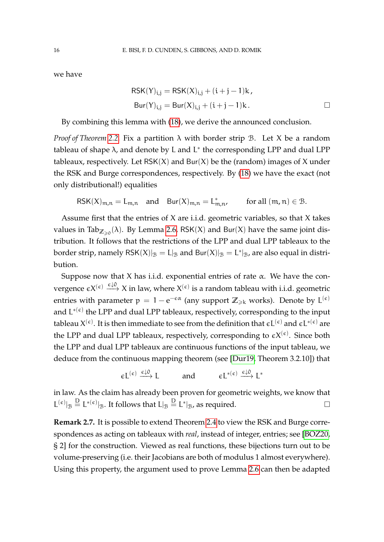we have

$$
RSK(Y)_{i,j} = RSK(X)_{i,j} + (i + j - 1)k,
$$
  
\n
$$
Bur(Y)_{i,j} = Bur(X)_{i,j} + (i + j - 1)k.
$$

By combining this lemma with [\(18\)](#page-12-2), we derive the announced conclusion.

*Proof of Theorem [2.2.](#page-10-0)* Fix a partition λ with border strip B. Let X be a random tableau of shape  $\lambda$ , and denote by L and L<sup>\*</sup> the corresponding LPP and dual LPP tableaux, respectively. Let  $RSK(X)$  and  $Bur(X)$  be the (random) images of X under the RSK and Burge correspondences, respectively. By [\(18\)](#page-12-2) we have the exact (not only distributional!) equalities

$$
\mathsf{RSK}(X)_{m,n} = L_{m,n} \quad \text{and} \quad \mathsf{Bur}(X)_{m,n} = L^*_{m,n}, \qquad \text{ for all } (m,n) \in \mathcal{B}.
$$

Assume first that the entries of X are i.i.d. geometric variables, so that X takes values in Tab $_{\mathbb{Z}_{\geqslant 0}}(\lambda)$ . By Lemma [2.6,](#page-14-1) RSK(X) and Bur(X) have the same joint distribution. It follows that the restrictions of the LPP and dual LPP tableaux to the border strip, namely  $\mathsf{RSK}(X)|_{\mathcal{B}} = L|_{\mathcal{B}}$  and  $\mathsf{Bur}(X)|_{\mathcal{B}} = L^*|_{\mathcal{B}}$ , are also equal in distribution.

Suppose now that X has i.i.d. exponential entries of rate  $\alpha$ . We have the convergence  $\epsilon X^{(\epsilon)} \stackrel{\epsilon \downarrow 0}{\longrightarrow} X$  in law, where  $X^{(\epsilon)}$  is a random tableau with i.i.d. geometric entries with parameter  $p = 1 - e^{-\epsilon \alpha}$  (any support  $\mathbb{Z}_{\geqslant k}$  works). Denote by  $\mathsf{L}^{(\epsilon)}$ and  $\mathsf{L}^{*(\epsilon)}$  the LPP and dual LPP tableaux, respectively, corresponding to the input tableau  $X^{(\epsilon)}.$  It is then immediate to see from the definition that  $\epsilon L^{(\epsilon)}$  and  $\epsilon L^{*(\epsilon)}$  are the LPP and dual LPP tableaux, respectively, corresponding to  $\epsilon X^{(\epsilon)}$ . Since both the LPP and dual LPP tableaux are continuous functions of the input tableau, we deduce from the continuous mapping theorem (see [\[Dur19,](#page-33-12) Theorem 3.2.10]) that

$$
\varepsilon L^{(\varepsilon)} \xrightarrow{\varepsilon \downarrow 0} L \quad \text{and} \quad \varepsilon L^{*(\varepsilon)} \xrightarrow{\varepsilon \downarrow 0} L^*
$$

in law. As the claim has already been proven for geometric weights, we know that  $\mathsf{L}^{(\epsilon)}|_{\mathcal{B}} \stackrel{\mathsf{D}}{=} \mathsf{L}^{*(\epsilon)}|_{\mathcal{B}}$ . It follows that  $\mathsf{L}|_{\mathcal{B}} \stackrel{\mathsf{D}}{=} \mathsf{L}^{*}|_{\mathcal{B}}$ , as required.

**Remark 2.7.** It is possible to extend Theorem [2.4](#page-11-0) to view the RSK and Burge correspondences as acting on tableaux with *real*, instead of integer, entries; see [\[BOZ20,](#page-32-7) § 2] for the construction. Viewed as real functions, these bijections turn out to be volume-preserving (i.e. their Jacobians are both of modulus 1 almost everywhere). Using this property, the argument used to prove Lemma [2.6](#page-14-1) can then be adapted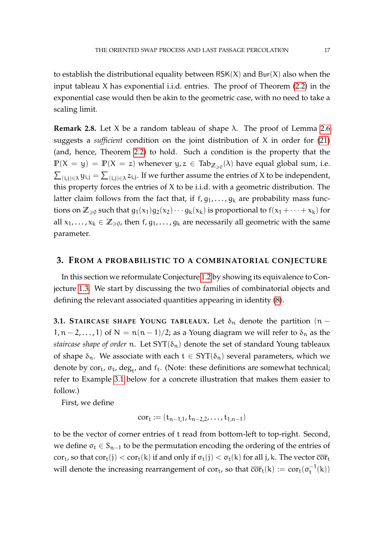to establish the distributional equality between  $RSK(X)$  and  $Bur(X)$  also when the input tableau X has exponential i.i.d. entries. The proof of Theorem [\(2.2\)](#page-10-0) in the exponential case would then be akin to the geometric case, with no need to take a scaling limit.

**Remark 2.8.** Let X be a random tableau of shape  $\lambda$ . The proof of Lemma [2.6](#page-14-1) suggests a *sufficient* condition on the joint distribution of X in order for [\(21\)](#page-14-2) (and, hence, Theorem [2.2\)](#page-10-0) to hold. Such a condition is the property that the  $\mathbb{P}(\mathsf{X}=\mathsf{y})\,=\,\mathbb{P}(\mathsf{X}\,=\,z)$  whenever  $\mathsf{y},z\,\in\,\text{Tab}_{\mathbb{Z}_{\geqslant 0}}(\lambda)$  have equal global sum, i.e.  $\sum_{(i,j)\in\lambda} y_{i,j} = \sum_{(i,j)\in\lambda} z_{i,j}$ . If we further assume the entries of X to be independent, this property forces the entries of X to be i.i.d. with a geometric distribution. The latter claim follows from the fact that, if  $f, g_1, \ldots, g_k$  are probability mass functions on  $\mathbb{Z}_{\geqslant0}$  such that  $g_1(x_1)g_2(x_2)\cdots g_k(x_k)$  is proportional to  $f(x_1+\cdots+x_k)$  for all  $x_1, \ldots, x_k \in \mathbb{Z}_{\geq 0}$ , then  $f, g_1, \ldots, g_k$  are necessarily all geometric with the same parameter.

### <span id="page-16-1"></span>**3. FROM A PROBABILISTIC TO A COMBINATORIAL CONJECTURE**

In this section we reformulate Conjecture [1.2](#page-5-0) by showing its equivalence to Conjecture [1.3.](#page-6-1) We start by discussing the two families of combinatorial objects and defining the relevant associated quantities appearing in identity [\(8\)](#page-6-2).

<span id="page-16-0"></span>**3.1. STAIRCASE SHAPE YOUNG TABLEAUX.** Let  $\delta_n$  denote the partition (n –  $1, n-2, \ldots, 1$  of  $N = n(n-1)/2$ ; as a Young diagram we will refer to  $\delta_n$  as the *staircase shape of order* n. Let  $SYT(\delta_n)$  denote the set of standard Young tableaux of shape  $\delta_n$ . We associate with each  $t \in SYT(\delta_n)$  several parameters, which we denote by  $\text{cor}_{t}$ ,  $\sigma_{t}$ , deg<sub>t</sub>, and  $f_{t}$ . (Note: these definitions are somewhat technical; refer to Example [3.1](#page-18-0) below for a concrete illustration that makes them easier to follow.)

First, we define

$$
cor_t := (t_{n-1,1}, t_{n-2,2}, \ldots, t_{1,n-1})
$$

to be the vector of corner entries of t read from bottom-left to top-right. Second, we define  $\sigma_t \in S_{n-1}$  to be the permutation encoding the ordering of the entries of cor<sub>t</sub>, so that cor<sub>t</sub>(j) < cor<sub>t</sub>(k) if and only if  $\sigma_t(j) < \sigma_t(k)$  for all j, k. The vector  $\overline{cor}_t$ will denote the increasing rearrangement of cor<sub>t</sub>, so that  $\overline{\text{cor}}_{\text{t}}(k) := \text{cor}_{\text{t}}(\sigma_{\text{t}}^{-1})$  $t^{-1}(k)$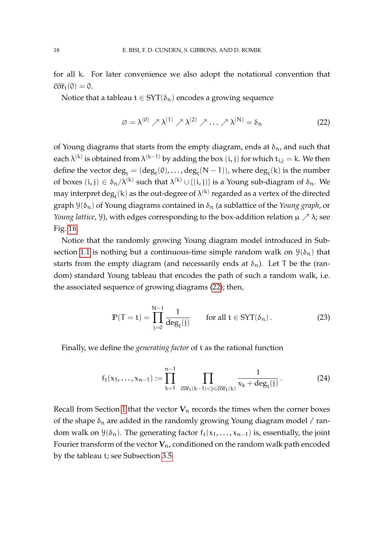for all k. For later convenience we also adopt the notational convention that  $\overline{\text{cor}}_t(0) = 0.$ 

Notice that a tableau  $t \in SYT(\delta_n)$  encodes a growing sequence

<span id="page-17-0"></span>
$$
\varnothing = \lambda^{(0)} \nearrow \lambda^{(1)} \nearrow \lambda^{(2)} \nearrow \dots \nearrow \lambda^{(N)} = \delta_n \tag{22}
$$

of Young diagrams that starts from the empty diagram, ends at  $\delta_n$ , and such that each  $\lambda^{(k)}$  is obtained from  $\lambda^{(k-1)}$  by adding the box  $(\mathfrak{i},\mathfrak{j})$  for which  $\mathfrak{t}_{\mathfrak{i},\mathfrak{j}}=$  k. We then define the vector  $\deg_{\mathfrak{t}} = (\deg_{\mathfrak{t}}(\mathfrak{0}), \ldots, \deg_{\mathfrak{t}}(N-1)),$  where  $\deg_{\mathfrak{t}}(k)$  is the number of boxes  $(i, j) \in \delta_n/\lambda^{(k)}$  such that  $\lambda^{(k)} \cup \{(i, j)\}$  is a Young sub-diagram of  $\delta_n$ . We may interpret  $\deg_{\mathfrak{t}}(\mathsf{k})$  as the out-degree of  $\lambda^{(\mathsf{k})}$  regarded as a vertex of the directed graph  $\mathcal{Y}(\delta_n)$  of Young diagrams contained in  $\delta_n$  (a sublattice of the *Young graph*, or *Young lattice*, *Y*), with edges corresponding to the box-addition relation  $\mu \nearrow \lambda$ ; see Fig. [1](#page-2-0)B.

Notice that the randomly growing Young diagram model introduced in Sub-section [1.1](#page-1-0) is nothing but a continuous-time simple random walk on  $\mathcal{Y}(\delta_n)$  that starts from the empty diagram (and necessarily ends at  $\delta_n$ ). Let T be the (random) standard Young tableau that encodes the path of such a random walk, i.e. the associated sequence of growing diagrams [\(22\)](#page-17-0); then,

<span id="page-17-2"></span>
$$
\mathbb{P}(\mathsf{T}=\mathsf{t})=\prod_{\mathfrak{j}=0}^{\mathsf{N}-1}\frac{1}{\deg_{\mathsf{t}}(\mathfrak{j})}\qquad\text{for all }\mathsf{t}\in\text{SYT}(\delta_{\mathfrak{n}}). \tag{23}
$$

Finally, we define the *generating factor* of t as the rational function

<span id="page-17-1"></span>
$$
f_t(x_1, \ldots, x_{n-1}) := \prod_{k=1}^{n-1} \prod_{\overline{cor}_t(k-1) < j \leq \overline{cor}_t(k)} \frac{1}{x_k + \deg_t(j)} \,. \tag{24}
$$

Recall from Section [1](#page-0-0) that the vector  $V_n$  records the times when the corner boxes of the shape  $\delta_n$  are added in the randomly growing Young diagram model / random walk on  $\mathcal{Y}(\delta_n)$ . The generating factor  $f_t(x_1, \ldots, x_{n-1})$  is, essentially, the joint Fourier transform of the vector  $V_n$ , conditioned on the random walk path encoded by the tableau t; see Subsection [3.5.](#page-23-0)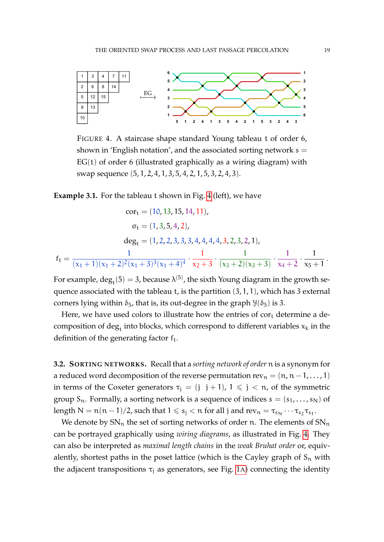<span id="page-18-1"></span>

FIGURE 4. A staircase shape standard Young tableau t of order 6, shown in 'English notation', and the associated sorting network  $s =$  $EG(t)$  of order 6 (illustrated graphically as a wiring diagram) with swap sequence (5, 1, 2, 4, 1, 3, 5, 4, 2, 1, 5, 3, 2, 4, 3).

<span id="page-18-0"></span>**Example 3.1.** For the tableau t shown in Fig. [4](#page-18-1) (left), we have

$$
cor_{t} = (10, 13, 15, 14, 11),
$$

$$
\sigma_{t} = (1, 3, 5, 4, 2),
$$

$$
deg_{t} = (1, 2, 2, 3, 3, 3, 4, 4, 4, 4, 3, 2, 3, 2, 1),
$$

$$
f_{t} = \frac{1}{(x_{1} + 1)(x_{1} + 2)^{2}(x_{1} + 3)^{3}(x_{1} + 4)^{4}} \cdot \frac{1}{x_{2} + 3} \cdot \frac{1}{(x_{3} + 2)(x_{3} + 3)} \cdot \frac{1}{x_{4} + 2} \cdot \frac{1}{x_{5} + 1}
$$

For example,  $\deg_t(5) = 3$ , because  $\lambda^{(5)}$ , the sixth Young diagram in the growth sequence associated with the tableau  $t$ , is the partition  $(3, 1, 1)$ , which has 3 external corners lying within  $\delta_5$ , that is, its out-degree in the graph  $\mathcal{Y}(\delta_5)$  is 3.

Here, we have used colors to illustrate how the entries of  $cor<sub>t</sub>$  determine a decomposition of  $\deg_{\mathbf{t}}$  into blocks, which correspond to different variables  $\mathsf{x}_{\mathsf{k}}$  in the definition of the generating factor  $f_t$ .

<span id="page-18-2"></span>**3.2. SORTING NETWORKS.** Recall that a *sorting network of order* n is a synonym for a reduced word decomposition of the reverse permutation  $rev_n = (n, n-1, \ldots, 1)$ in terms of the Coxeter generators  $\tau_i = (j \ j+1)$ ,  $1 \le j \le n$ , of the symmetric group  $S_n$ . Formally, a sorting network is a sequence of indices  $s = (s_1, \ldots, s_N)$  of length  $N = n(n-1)/2$ , such that  $1 \leqslant s_j < n$  for all j and  $rev_n = \tau_{s_N} \cdots \tau_{s_2} \tau_{s_1}$ .

We denote by  $SN_n$  the set of sorting networks of order n. The elements of  $SN_n$ can be portrayed graphically using *wiring diagrams*, as illustrated in Fig. [4.](#page-18-1) They can also be interpreted as *maximal length chains* in the *weak Bruhat order* or, equivalently, shortest paths in the poset lattice (which is the Cayley graph of  $S_n$  with the adjacent transpositions  $\tau_i$  as generators, see Fig. [1](#page-2-0)A) connecting the identity

.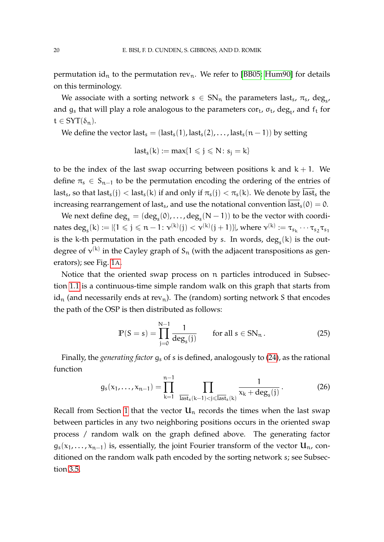permutation id<sub>n</sub> to the permutation rev<sub>n</sub>. We refer to [\[BB05;](#page-33-13) [Hum90\]](#page-34-7) for details on this terminology.

We associate with a sorting network  $s \in SN_n$  the parameters last<sub>s</sub>,  $\pi_s$ , deg<sub>s</sub>, and  $g_s$  that will play a role analogous to the parameters  $\mathrm{cor}_\mathrm{t}$ ,  $\sigma_\mathrm{t}$ , deg<sub>t</sub>, and  $\mathrm{f}_\mathrm{t}$  for  $t \in SYT(\delta_n)$ .

We define the vector last<sub>s</sub> = (last<sub>s</sub>(1), last<sub>s</sub>(2), ..., last<sub>s</sub>(n - 1)) by setting

$$
last_s(k) := max\{1 \leqslant j \leqslant N \colon s_j = k\}
$$

to be the index of the last swap occurring between positions  $k$  and  $k + 1$ . We define  $\pi_s \in S_{n-1}$  to be the permutation encoding the ordering of the entries of last<sub>s</sub>, so that last<sub>s</sub>(j) < last<sub>s</sub>(k) if and only if  $\pi_s(j) < \pi_s(k)$ . We denote by last<sub>s</sub> the increasing rearrangement of last<sub>s</sub>, and use the notational convention last<sub>s</sub>(0) = 0.

We next define  $\deg_{\rm s} = (\deg_{\rm s}(0), \ldots, \deg_{\rm s}(N-1))$  to be the vector with coordinates  $\deg_s(k):=|\{1\leqslant j\leqslant n-1\colon \nu^{(k)}(j)<\nu^{(k)}(j+1)\}|$ , where  $\nu^{(k)}:=\tau_{s_k}\cdots\tau_{s_2}\tau_{s_1}$ is the k-th permutation in the path encoded by s. In words,  $\deg_s(k)$  is the outdegree of  $\mathsf{v}^{(\mathsf{k})}$  in the Cayley graph of  $\mathsf{S}_\mathfrak{n}$  (with the adjacent transpositions as generators); see Fig. [1](#page-2-0)A.

Notice that the oriented swap process on n particles introduced in Subsection [1.1](#page-1-0) is a continuous-time simple random walk on this graph that starts from  $id_n$  (and necessarily ends at rev<sub>n</sub>). The (random) sorting network S that encodes the path of the OSP is then distributed as follows:

<span id="page-19-0"></span>
$$
\mathbb{P}(S=s) = \prod_{j=0}^{N-1} \frac{1}{\deg_s(j)} \qquad \text{for all } s \in SN_n. \tag{25}
$$

Finally, the *generating factor* g<sup>s</sup> of s is defined, analogously to [\(24\)](#page-17-1), as the rational function

<span id="page-19-1"></span>
$$
g_s(x_1,\ldots,x_{n-1})=\prod_{k=1}^{n-1}\prod_{\overline{\text{last}}_s(k-1)<\overline{j}\leqslant\overline{\text{last}}_s(k)}\frac{1}{x_k+\text{deg}_s(j)}.\tag{26}
$$

Recall from Section [1](#page-0-0) that the vector  $U_n$  records the times when the last swap between particles in any two neighboring positions occurs in the oriented swap process / random walk on the graph defined above. The generating factor  $g_s(x_1,...,x_{n-1})$  is, essentially, the joint Fourier transform of the vector  $\mathbf{U}_n$ , conditioned on the random walk path encoded by the sorting network s; see Subsection [3.5.](#page-23-0)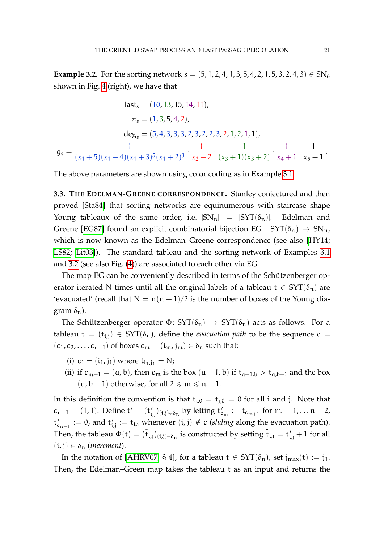<span id="page-20-0"></span>**Example 3.2.** For the sorting network  $s = (5, 1, 2, 4, 1, 3, 5, 4, 2, 1, 5, 3, 2, 4, 3) \in SN_6$ shown in Fig. [4](#page-18-1) (right), we have that

$$
last_{s} = (10, 13, 15, 14, 11),
$$

$$
\pi_{s} = (1, 3, 5, 4, 2),
$$

$$
deg_{s} = (5, 4, 3, 3, 3, 2, 3, 2, 2, 3, 2, 1, 2, 1, 1),
$$

$$
gs = \frac{1}{(x_{1} + 5)(x_{1} + 4)(x_{1} + 3)^{5}(x_{1} + 2)^{3}} \cdot \frac{1}{x_{2} + 2} \cdot \frac{1}{(x_{3} + 1)(x_{3} + 2)} \cdot \frac{1}{x_{4} + 1} \cdot \frac{1}{x_{5} + 1}.
$$

The above parameters are shown using color coding as in Example [3.1.](#page-18-0)

**3.3. THE EDELMAN-GREENE CORRESPONDENCE.** Stanley conjectured and then proved [\[Sta84\]](#page-34-8) that sorting networks are equinumerous with staircase shape Young tableaux of the same order, i.e.  $|SN_n| = |SYT(\delta_n)|$ . Edelman and Greene [\[EG87\]](#page-33-2) found an explicit combinatorial bijection EG :  $SYT(\delta_n) \rightarrow SN_n$ , which is now known as the Edelman–Greene correspondence (see also [\[HY14;](#page-34-9) [LS82;](#page-34-10) [Lit03\]](#page-34-11)). The standard tableau and the sorting network of Examples [3.1](#page-18-0) and [3.2](#page-20-0) (see also Fig. [\(4\)](#page-18-1)) are associated to each other via EG.

The map EG can be conveniently described in terms of the Schützenberger operator iterated N times until all the original labels of a tableau  $t \in SYT(\delta_n)$  are 'evacuated' (recall that  $N = n(n-1)/2$  is the number of boxes of the Young diagram  $\delta_n$ ).

The Schützenberger operator  $\Phi$ : SYT( $\delta_n$ )  $\to$  SYT( $\delta_n$ ) acts as follows. For a tableau t =  $(t_{i,j}) \in SYT(\delta_n)$ , define the *evacuation path* to be the sequence c =  $(c_1, c_2, \ldots, c_{n-1})$  of boxes  $c_m = (i_m, j_m) \in \delta_n$  such that:

- (i)  $c_1 = (i_1, j_1)$  where  $t_{i_1, j_1} = N$ ;
- (ii) if  $c_{m-1} = (a, b)$ , then  $c_m$  is the box  $(a 1, b)$  if  $t_{a-1,b} > t_{a,b-1}$  and the box  $(a, b - 1)$  otherwise, for all  $2 \le m \le n - 1$ .

In this definition the convention is that  $t_{i,0} = t_{i,0} = 0$  for all i and j. Note that  $c_{n-1} = (1, 1)$ . Define t' = (t<sub>i</sub>  $\mathcal{L}_{i,j}(t_{i,j}) \in \delta_n$  by letting  $t'_{c_m} := t_{c_{m+1}}$  for  $m = 1, \ldots n-2$ ,  $t'_{c_{n-1}} := 0$ , and  $t'_i$  $i_{i,j} := t_{i,j}$  whenever  $(i,j) \notin c$  (*sliding* along the evacuation path). Then, the tableau  $\Phi(t) = (\hat{t}_{i,j})_{(i,j)\in\delta_n}$  is constructed by setting  $\hat{t}_{i,j} = t'_{i,j} + 1$  for all  $(i, j) \in \delta_n$  (*increment*).

In the notation of [\[AHRV07,](#page-32-1) § 4], for a tableau  $t \in SYT(\delta_n)$ , set  $j_{max}(t) := j_1$ . Then, the Edelman–Green map takes the tableau t as an input and returns the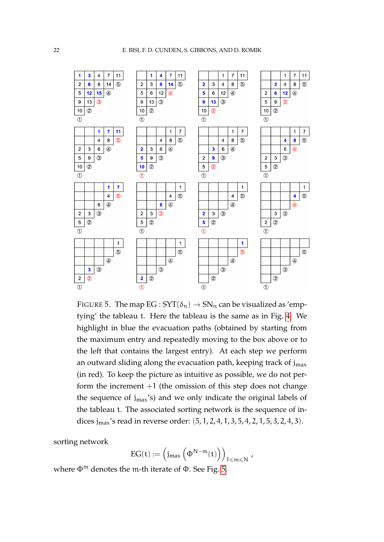<span id="page-21-0"></span>

FIGURE 5. The map  $EG:SYT(\delta_n) \to SN_n$  can be visualized as 'emptying' the tableau t. Here the tableau is the same as in Fig. [4.](#page-18-1) We highlight in blue the evacuation paths (obtained by starting from the maximum entry and repeatedly moving to the box above or to the left that contains the largest entry). At each step we perform an outward sliding along the evacuation path, keeping track of  $j<sub>max</sub>$ (in red). To keep the picture as intuitive as possible, we do not perform the increment  $+1$  (the omission of this step does not change the sequence of  $j_{max}$ 's) and we only indicate the original labels of the tableau t. The associated sorting network is the sequence of indices jmax's read in reverse order: (5, 1, 2, 4, 1, 3, 5, 4, 2, 1, 5, 3, 2, 4, 3).

sorting network

$$
EG(t):=\left(j_{max}\left(\Phi^{N-m}(t)\right)\right)_{1\leqslant m\leqslant N}\,,
$$

where  $\Phi^m$  denotes the m-th iterate of  $\Phi$ . See Fig. [5.](#page-21-0)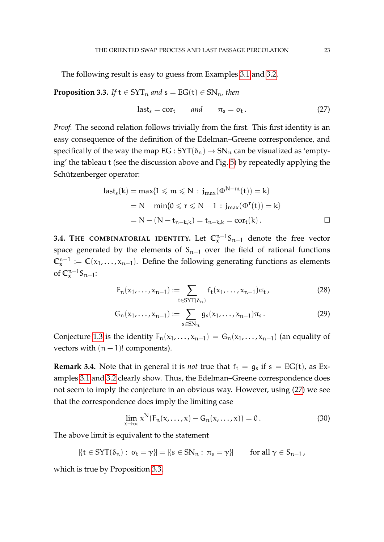The following result is easy to guess from Examples [3.1](#page-18-0) and [3.2.](#page-20-0)

<span id="page-22-1"></span>**Proposition 3.3.** *If*  $t \in SYT_n$  *and*  $s = EG(t) \in SN_n$ , *then* 

<span id="page-22-0"></span>
$$
last_s = cor_t \t and \t \pi_s = \sigma_t. \t (27)
$$

*Proof.* The second relation follows trivially from the first. This first identity is an easy consequence of the definition of the Edelman–Greene correspondence, and specifically of the way the map  $EG:SYT(\delta_n) \to SN_n$  can be visualized as 'emptying' the tableau t (see the discussion above and Fig. [5\)](#page-21-0) by repeatedly applying the Schützenberger operator:

last<sub>s</sub>(k) = max{1 ≤ m ≤ N : j<sub>max</sub>(
$$
\Phi^{N-m}(t)
$$
) = k}  
= N - min{0 ≤ r ≤ N - 1 : j<sub>max</sub>( $\Phi^{r}(t)$ ) = k}  
= N - (N - t<sub>n-k,k</sub>) = t<sub>n-k,k</sub> = cor<sub>t</sub>(k).

**3.4. THE COMBINATORIAL IDENTITY.** Let  $\mathbb{C}_{\mathbf{x}}^{n-1}$ S<sub>n−1</sub> denote the free vector space generated by the elements of  $S_{n-1}$  over the field of rational functions  $\mathbb{C}_{\mathbf{x}}^{\mathbf{n}-1}$  :=  $\mathbb{C}(x_1,...,x_{\mathbf{n}-1})$ . Define the following generating functions as elements of  $\mathbb{C}_{\mathbf{x}}^{n-1} \mathsf{S}_{n-1}$ :

<span id="page-22-3"></span><span id="page-22-2"></span>
$$
F_n(x_1,\ldots,x_{n-1}) := \sum_{t \in \text{SYT}(\delta_n)} f_t(x_1,\ldots,x_{n-1})\sigma_t, \qquad (28)
$$

$$
G_n(x_1,...,x_{n-1}) := \sum_{s \in SN_n} g_s(x_1,...,x_{n-1}) \pi_s.
$$
 (29)

Conjecture [1.3](#page-6-1) is the identity  $F_n(x_1,...,x_{n-1}) = G_n(x_1,...,x_{n-1})$  (an equality of vectors with  $(n - 1)!$  components).

**Remark 3.4.** Note that in general it is *not* true that  $f_t = g_s$  if  $s = EG(t)$ , as Examples [3.1](#page-18-0) and [3.2](#page-20-0) clearly show. Thus, the Edelman–Greene correspondence does not seem to imply the conjecture in an obvious way. However, using [\(27\)](#page-22-0) we see that the correspondence does imply the limiting case

$$
\lim_{x \to \infty} x^N(F_n(x, \dots, x) - G_n(x, \dots, x)) = 0.
$$
 (30)

The above limit is equivalent to the statement

$$
|\{t \in SYT(\delta_n): \sigma_t = \gamma\}| = |\{s \in SN_n: \pi_s = \gamma\}| \qquad \text{for all } \gamma \in S_{n-1},
$$

which is true by Proposition [3.3.](#page-22-1)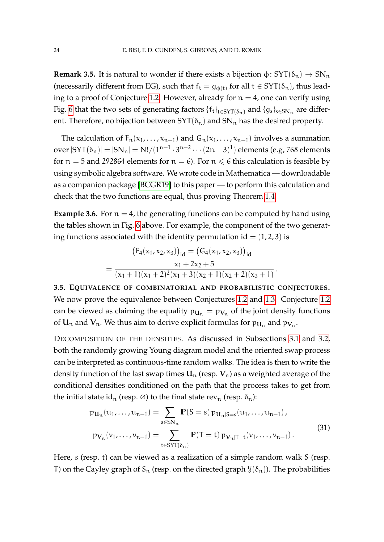**Remark 3.5.** It is natural to wonder if there exists a bijection  $\phi$ :  $SYT(\delta_n) \rightarrow SN_n$ (necessarily different from EG), such that  $f_t = g_{\phi(t)}$  for all  $t \in SYT(\delta_n)$ , thus lead-ing to a proof of Conjecture [1.2.](#page-5-0) However, already for  $n = 4$ , one can verify using Fig. [6](#page-24-0) that the two sets of generating factors  $\{f_t\}_{t\in \text{SYT}(\delta_n)}$  and  $\{g_s\}_{s\in \text{SN}_n}$  are different. Therefore, no bijection between  $SYT(\delta_n)$  and  $SN_n$  has the desired property.

The calculation of  $F_n(x_1,...,x_{n-1})$  and  $G_n(x_1,...,x_{n-1})$  involves a summation over  $|\text{SYT}(\delta_{\mathfrak n})|=|\text{SN}_{\mathfrak n}|=\mathsf{N}!/(1^{{\mathfrak n}-1}\cdot 3^{{\mathfrak n}-2}\cdots (2{\mathfrak n}-3)^1)$  elements (e.g, 768 elements for  $n = 5$  and 292864 elements for  $n = 6$ ). For  $n \le 6$  this calculation is feasible by using symbolic algebra software. We wrote code in Mathematica — downloadable as a companion package [\[BCGR19\]](#page-32-8) to this paper — to perform this calculation and check that the two functions are equal, thus proving Theorem [1.4.](#page-6-3)

**Example 3.6.** For  $n = 4$ , the generating functions can be computed by hand using the tables shown in Fig. [6](#page-24-0) above. For example, the component of the two generating functions associated with the identity permutation id  $= (1, 2, 3)$  is

$$
(F_4(x_1, x_2, x_3))_{id} = (G_4(x_1, x_2, x_3))_{id}
$$
  
= 
$$
\frac{x_1 + 2x_2 + 5}{(x_1 + 1)(x_1 + 2)^2(x_1 + 3)(x_2 + 1)(x_2 + 2)(x_3 + 1)}.
$$

<span id="page-23-0"></span>**3.5. EQUIVALENCE OF COMBINATORIAL AND PROBABILISTIC CONJECTURES.** We now prove the equivalence between Conjectures [1.2](#page-5-0) and [1.3.](#page-6-1) Conjecture [1.2](#page-5-0) can be viewed as claiming the equality  $p_{\mathbf{U}_n} = p_{\mathbf{V}_n}$  of the joint density functions of  $\mathbf{U}_\mathfrak{n}$  and  $\mathbf{V}_\mathfrak{n}.$  We thus aim to derive explicit formulas for  $\mathfrak{p}_{\mathbf{U}_\mathfrak{n}}$  and  $\mathfrak{p}_{\mathbf{V}_\mathfrak{n}}.$ 

DECOMPOSITION OF THE DENSITIES. As discussed in Subsections [3.1](#page-16-0) and [3.2,](#page-18-2) both the randomly growing Young diagram model and the oriented swap process can be interpreted as continuous-time random walks. The idea is then to write the density function of the last swap times  $U_n$  (resp.  $V_n$ ) as a weighted average of the conditional densities conditioned on the path that the process takes to get from the initial state id<sub>n</sub> (resp.  $\varnothing$ ) to the final state rev<sub>n</sub> (resp.  $\delta_n$ ):

$$
p_{\mathbf{U}_{n}}(u_{1},...,u_{n-1}) = \sum_{s \in SN_{n}} \mathbb{P}(S=s) p_{\mathbf{U}_{n}|S=s}(u_{1},...,u_{n-1}),
$$
  
\n
$$
p_{\mathbf{V}_{n}}(v_{1},...,v_{n-1}) = \sum_{t \in STT(\delta_{n})} \mathbb{P}(T=t) p_{\mathbf{V}_{n}|T=t}(v_{1},...,v_{n-1}).
$$
\n(31)

Here, s (resp. t) can be viewed as a realization of a simple random walk S (resp. T) on the Cayley graph of  $S_n$  (resp. on the directed graph  $\mathcal{Y}(\delta_n)$ ). The probabilities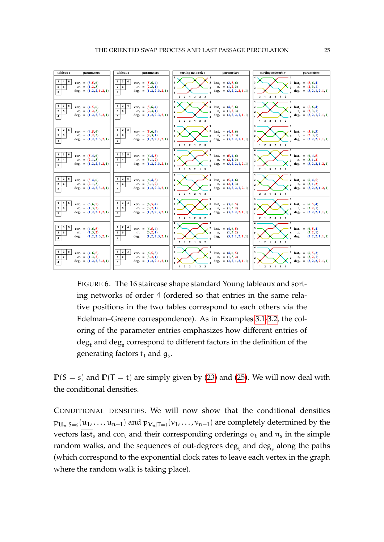<span id="page-24-0"></span>

FIGURE 6. The 16 staircase shape standard Young tableaux and sorting networks of order 4 (ordered so that entries in the same relative positions in the two tables correspond to each others via the Edelman-Greene correspondence). As in Examples 3.1-3.2, the coloring of the parameter entries emphasizes how different entries of deg<sub>t</sub> and deg<sub>s</sub> correspond to different factors in the definition of the generating factors  $f_t$  and  $g_s$ .

 $P(S = s)$  and  $P(T = t)$  are simply given by (23) and (25). We will now deal with the conditional densities.

CONDITIONAL DENSITIES. We will now show that the conditional densities  $p_{\mathbf{U}_n|S=s}(u_1,\ldots,u_{n-1})$  and  $p_{\mathbf{V}_n|T=t}(v_1,\ldots,v_{n-1})$  are completely determined by the vectors  $\overline{\text{last}}_s$  and  $\overline{\text{cor}}_t$  and their corresponding orderings  $\sigma_t$  and  $\pi_s$  in the simple random walks, and the sequences of out-degrees  $\deg_t$  and  $\deg_s$  along the paths (which correspond to the exponential clock rates to leave each vertex in the graph where the random walk is taking place).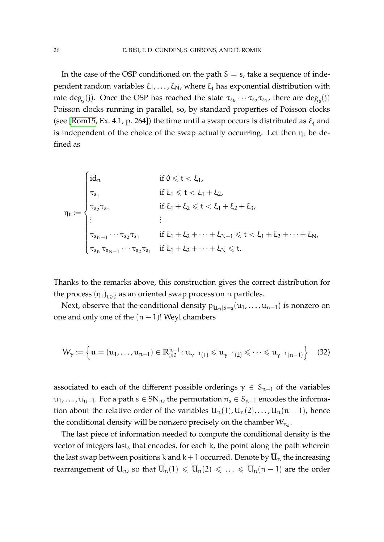In the case of the OSP conditioned on the path  $S = s$ , take a sequence of independent random variables ξ<sub>1</sub>,..., ξ<sub>N</sub>, where ξ<sub>i</sub> has exponential distribution with rate  $\deg_s(j)$ . Once the OSP has reached the state  $\tau_{s_k}\cdots\tau_{s_2}\tau_{s_1}$ , there are  $\deg_s(j)$ Poisson clocks running in parallel, so, by standard properties of Poisson clocks (see [\[Rom15,](#page-34-0) Ex. 4.1, p. 264]) the time until a swap occurs is distributed as  $\xi_i$  and is independent of the choice of the swap actually occurring. Let then  $\eta_t$  be defined as

$$
\eta_t:=\begin{cases} id_n &\text{if }0\leqslant t<\xi_1,\\ \tau_{s_1} &\text{if } \xi_1\leqslant t<\xi_1+\xi_2,\\ \tau_{s_2}\tau_{s_1} &\text{if } \xi_1+\xi_2\leqslant t<\xi_1+\xi_2+\xi_3,\\ \vdots &\vdots\\ \tau_{s_{N-1}}\cdots\tau_{s_2}\tau_{s_1} &\text{if } \xi_1+\xi_2+\cdots+\xi_{N-1}\leqslant t<\xi_1+\xi_2+\cdots+\xi_N,\\ \tau_{s_N}\tau_{s_{N-1}}\cdots\tau_{s_2}\tau_{s_1} &\text{if } \xi_1+\xi_2+\cdots+\xi_N\leqslant t. \end{cases}
$$

Thanks to the remarks above, this construction gives the correct distribution for the process  $\left(\eta_{\,rm t}\right)_{\rm t\geqslant0}$  as an oriented swap process on  ${\mathfrak n}$  particles.

Next, observe that the conditional density  $p_{\mathbf{U}_n|S=s}(u_1,\ldots,u_{n-1})$  is nonzero on one and only one of the  $(n - 1)!$  Weyl chambers

<span id="page-25-0"></span>
$$
W_\gamma:=\left\{ \mathbf{u}=(u_1,\ldots,u_{n-1})\in\mathbb{R}^{n-1}_{\geqslant 0}\colon u_{\gamma^{-1}(1)}\leqslant u_{\gamma^{-1}(2)}\leqslant\cdots\leqslant u_{\gamma^{-1}(n-1)}\right\}\quad \ (32)
$$

associated to each of the different possible orderings  $\gamma \in S_{n-1}$  of the variables  $u_1, \ldots, u_{n-1}$ . For a path  $s \in SN_n$ , the permutation  $\pi_s \in S_{n-1}$  encodes the information about the relative order of the variables  $U_n(1)$ ,  $U_n(2)$ , ...,  $U_n(n-1)$ , hence the conditional density will be nonzero precisely on the chamber  $W_{\pi_s}.$ 

The last piece of information needed to compute the conditional density is the vector of integers last, that encodes, for each  $k$ , the point along the path wherein the last swap between positions k and  $k+1$  occurred. Denote by  $\overline{u}_n$  the increasing rearrangement of  $U_n$ , so that  $\overline{U}_n(1) \leq \overline{U}_n(2) \leq \ldots \leq \overline{U}_n(n-1)$  are the order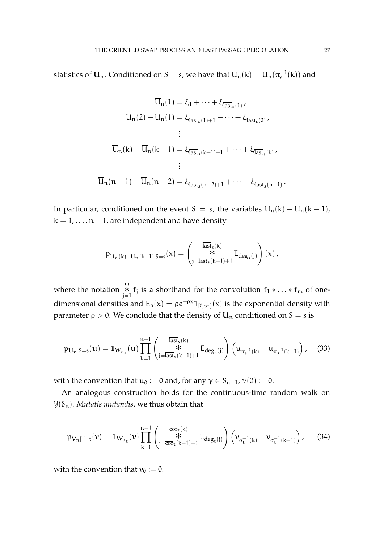statistics of  $\mathbf{U}_n$ . Conditioned on S = s, we have that  $\overline{\mathrm{U}}_{n}(\mathrm{k}) = \mathrm{U}_{n}(\pi_{\mathrm{s}}^{-1}(\mathrm{k}))$  and

$$
U_{n}(1) = \xi_{1} + \dots + \xi_{\overline{\text{last}}_{s}(1)},
$$
  
\n
$$
\overline{U}_{n}(2) - \overline{U}_{n}(1) = \xi_{\overline{\text{last}}_{s}(1)+1} + \dots + \xi_{\overline{\text{last}}_{s}(2)},
$$
  
\n
$$
\vdots
$$
  
\n
$$
\overline{U}_{n}(k) - \overline{U}_{n}(k-1) = \xi_{\overline{\text{last}}_{s}(k-1)+1} + \dots + \xi_{\overline{\text{last}}_{s}(k)},
$$
  
\n
$$
\vdots
$$
  
\n
$$
\overline{U}_{n}(n-1) - \overline{U}_{n}(n-2) = \xi_{\overline{\text{last}}_{s}(n-2)+1} + \dots + \xi_{\overline{\text{last}}_{s}(n-1)}.
$$

In particular, conditioned on the event S = s, the variables  $\overline{u}_n(k) - \overline{u}_n(k-1)$ ,  $k = 1, \ldots, n - 1$ , are independent and have density

$$
p_{\overline{U}_n(k)-\overline{U}_n(k-1)|S=s}(x)=\left(\begin{matrix}\frac{\overline{\text{last}}_s(k)}{\text{\texttt{*}}} \\ \text{\texttt{*}} \\ j=\overline{\text{last}}_s(k-1)+1 \end{matrix}\text{E}_{deg_s(j)}\right)(x)\,,
$$

where the notation <sup>m</sup>  $*$  f<sub>j</sub> is a shorthand for the convolution f<sub>1</sub> ∗ . . . ∗ f<sub>m</sub> of onedimensional densities and  $E_{\rho}(x) = \rho e^{-\rho x} \mathbb{1}_{[0,\infty)}(x)$  is the exponential density with parameter  $\rho > 0$ . We conclude that the density of  $\mathbf{U}_n$  conditioned on  $S = s$  is

<span id="page-26-0"></span>
$$
p_{\mathbf{U}_{n}|S=s}(\mathbf{u}) = \mathbb{1}_{W_{\pi_{s}}}(\mathbf{u}) \prod_{k=1}^{n-1} \left( \mathbf{I}_{j=\overline{\text{last}}_{s}(k-1)+1}^{\overline{\text{last}}_{s}(k)} E_{\text{deg}_{s}(j)} \right) \left( u_{\pi_{s}^{-1}(k)} - u_{\pi_{s}^{-1}(k-1)} \right), \quad (33)
$$

with the convention that  $u_0 := 0$  and, for any  $\gamma \in S_{n-1}$ ,  $\gamma(0) := 0$ .

An analogous construction holds for the continuous-time random walk on  $\mathcal{Y}(\delta_n)$ . *Mutatis mutandis*, we thus obtain that

<span id="page-26-1"></span>
$$
p_{\mathbf{V}_n|T=t}(\nu) = \mathbb{1}_{W_{\sigma_t}}(\nu) \prod_{k=1}^{n-1} \left( \mathcal{F}_{j=\overline{cor}_t(k-1)+1}^{\overline{cor}_t(k)} E_{deg_t(j)} \right) \left( \nu_{\sigma_t^{-1}(k)} - \nu_{\sigma_t^{-1}(k-1)} \right), \quad (34)
$$

with the convention that  $v_0 := 0$ .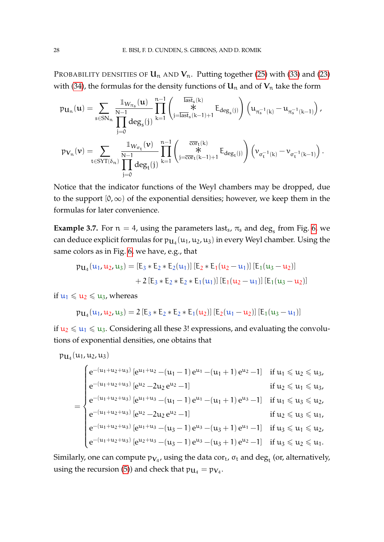PROBABILITY DENSITIES OF  $U_n$  AND  $V_n$ . Putting together [\(25\)](#page-19-0) with [\(33\)](#page-26-0) and [\(23\)](#page-17-2) with [\(34\)](#page-26-1), the formulas for the density functions of  $U_n$  and of  $V_n$  take the form

$$
\begin{aligned} p_{\boldsymbol{U}_n}(\boldsymbol{u})&=\sum_{s\in SN_n}\frac{\mathbb{I}_{W_{\pi_s}}(\boldsymbol{u})}{\displaystyle\prod_{j=0}^{N-1}deg_s(j)}\prod_{k=1}^{n-1}\left(\frac{\displaystyle\prod_{j=\overline{last}_s(k)}^{ \overline{last}_s(k)}}{\displaystyle\prod_{j=0}^{k-1}deg_s(j)}\right)\left(u_{\pi^{-1}_s(k)}-u_{\pi^{-1}_s(k-1)}\right),\\ p_{\boldsymbol{V}_n}(\boldsymbol{\nu})&=\sum_{t\in SYT(\delta_n)}\frac{\mathbb{I}_{W_{\sigma_t}}(\boldsymbol{\nu})}{\displaystyle\prod_{j=0}^{N-1}deg_t(j)}\prod_{k=1}^{n-1}\left(\frac{\overline{c}\sigma_{t_k}(k)}{\displaystyle\prod_{j=\overline{c}\sigma_{t_k}(k-1)+1}E_{deg_t(j)}}\right)\left(\nu_{\sigma^{-1}_t(k)}-\nu_{\sigma^{-1}_t(k-1)}\right). \end{aligned}
$$

Notice that the indicator functions of the Weyl chambers may be dropped, due to the support  $[0, \infty)$  of the exponential densities; however, we keep them in the formulas for later convenience.

**Example 3.7.** For  $n = 4$ , using the parameters last<sub>s</sub>,  $\pi_s$  and deg<sub>s</sub> from Fig. [6,](#page-24-0) we can deduce explicit formulas for  $\mathfrak{p}_{\mathbf{U}_4}(\mathfrak{u}_1,\mathfrak{u}_2,\mathfrak{u}_3)$  in every Weyl chamber. Using the same colors as in Fig. [6,](#page-24-0) we have, e.g., that

$$
p_{\mathbf{U}_4}(u_1, u_2, u_3) = [E_3 * E_2 * E_2(u_1)] [E_2 * E_1(u_2 - u_1)] [E_1(u_3 - u_2)]
$$
  
+ 2 [E\_3 \* E\_2 \* E\_2 \* E\_1(u\_1)] [E\_1(u\_2 - u\_1)] [E\_1(u\_3 - u\_2)]

if  $u_1 \leq u_2 \leq u_3$ , whereas

$$
p_{\mathbf{U}_4}(u_1, u_2, u_3) = 2 [E_3 * E_2 * E_2 * E_1(u_2)] [E_2(u_1 - u_2)] [E_1(u_3 - u_1)]
$$

if  $u_2 \leq u_1 \leq u_3$ . Considering all these 3! expressions, and evaluating the convolutions of exponential densities, one obtains that

$$
p_{u_{4}}(u_{1}, u_{2}, u_{3})
$$
\n
$$
= \begin{cases}\ne^{-(u_{1}+u_{2}+u_{3})}[e^{u_{1}+u_{2}}-(u_{1}-1)e^{u_{1}}-(u_{1}+1)e^{u_{2}}-1] & \text{if } u_{1} \leq u_{2} \leq u_{3}, \\
e^{-(u_{1}+u_{2}+u_{3})}[e^{u_{2}}-2u_{2}e^{u_{2}}-1] & \text{if } u_{2} \leq u_{1} \leq u_{3}, \\
e^{-(u_{1}+u_{2}+u_{3})}[e^{u_{1}+u_{3}}-(u_{1}-1)e^{u_{1}}-(u_{1}+1)e^{u_{3}}-1] & \text{if } u_{1} \leq u_{3} \leq u_{2}, \\
e^{-(u_{1}+u_{2}+u_{3})}[e^{u_{2}}-2u_{2}e^{u_{2}}-1] & \text{if } u_{2} \leq u_{3} \leq u_{1}, \\
e^{-(u_{1}+u_{2}+u_{3})}[e^{u_{1}+u_{3}}-(u_{3}-1)e^{u_{3}}-(u_{3}+1)e^{u_{1}}-1] & \text{if } u_{3} \leq u_{1} \leq u_{2}, \\
e^{-(u_{1}+u_{2}+u_{3})}[e^{u_{2}+u_{3}}-(u_{3}-1)e^{u_{3}}-(u_{3}+1)e^{u_{2}}-1] & \text{if } u_{3} \leq u_{2} \leq u_{1}.\n\end{cases}
$$

Similarly, one can compute  $\mathfrak{p}_{\mathsf{V}_4}$ , using the data cor<sub>t</sub>,  $\sigma_{\mathsf{t}}$  and  $\deg_{\mathsf{t}}$  (or, alternatively, using the recursion [\(5\)](#page-5-1)) and check that  $p_{U_4} = p_{V_4}$ .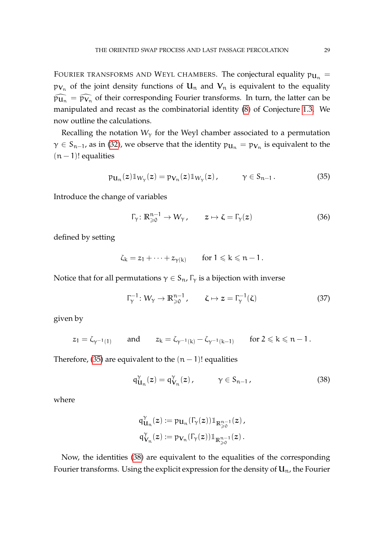FOURIER TRANSFORMS AND WEYL CHAMBERS. The conjectural equality  $p_{\mathbf{U}_n} =$  $\mathfrak{p}_{\mathsf{V}_n}$  of the joint density functions of  $\mathsf{U}_n$  and  $\mathsf{V}_n$  is equivalent to the equality  $\widehat{p_{\mathbf{u}_n}} = \widehat{p_{\mathbf{v}_n}}$  of their corresponding Fourier transforms. In turn, the latter can be manipulated and recast as the combinatorial identity [\(8\)](#page-6-2) of Conjecture [1.3.](#page-6-1) We now outline the calculations.

Recalling the notation  $W_{\gamma}$  for the Weyl chamber associated to a permutation  $\gamma \in S_{n-1}$ , as in [\(32\)](#page-25-0), we observe that the identity  $\mathfrak{p}_{\mathbf{u}_n} = \mathfrak{p}_{\mathbf{V}_n}$  is equivalent to the  $(n - 1)!$  equalities

<span id="page-28-0"></span>
$$
\mathfrak{p}_{\mathbf{u}_n}(z)\mathbb{1}_{W_\gamma}(z) = \mathfrak{p}_{\mathbf{V}_n}(z)\mathbb{1}_{W_\gamma}(z), \qquad \gamma \in S_{n-1}.
$$
 (35)

Introduce the change of variables

$$
\Gamma_{\gamma}: \mathbb{R}^{n-1}_{\geq 0} \to W_{\gamma}, \qquad z \mapsto \zeta = \Gamma_{\gamma}(z) \tag{36}
$$

defined by setting

$$
\zeta_k = z_1 + \cdots + z_{\gamma(k)} \qquad \text{for } 1 \leqslant k \leqslant n-1\,.
$$

Notice that for all permutations  $\gamma \in S_n$ ,  $\Gamma_{\gamma}$  is a bijection with inverse

$$
\Gamma_{\gamma}^{-1}: W_{\gamma} \to \mathbb{R}_{\geqslant 0}^{n-1}, \qquad \zeta \mapsto z = \Gamma_{\gamma}^{-1}(\zeta) \tag{37}
$$

given by

$$
z_1=\zeta_{\gamma^{-1}(1)}\qquad\text{and}\qquad z_k=\zeta_{\gamma^{-1}(k)}-\zeta_{\gamma^{-1}(k-1)}\qquad\text{for $2\leqslant k\leqslant n-1$}\,.
$$

Therefore, [\(35\)](#page-28-0) are equivalent to the  $(n - 1)!$  equalities

<span id="page-28-1"></span>
$$
q_{\mathbf{U}_n}^{\gamma}(z) = q_{\mathbf{V}_n}^{\gamma}(z), \qquad \gamma \in S_{n-1}, \qquad (38)
$$

where

$$
\begin{aligned} q_{\mathbf{U}_n}^\gamma(z) &:= p_{\mathbf{U}_n}(\Gamma_\gamma(z)) \mathbb{1}_{\mathbb{R}^{n-1}_\geq 0}(z)\,, \\ q_{\mathbf{V}_n}^\gamma(z) &:= p_{\mathbf{V}_n}(\Gamma_\gamma(z)) \mathbb{1}_{\mathbb{R}^{n-1}_\geq 0}(z)\,. \end{aligned}
$$

Now, the identities [\(38\)](#page-28-1) are equivalent to the equalities of the corresponding Fourier transforms. Using the explicit expression for the density of  $\mathbf{U}_{\text{n}}$ , the Fourier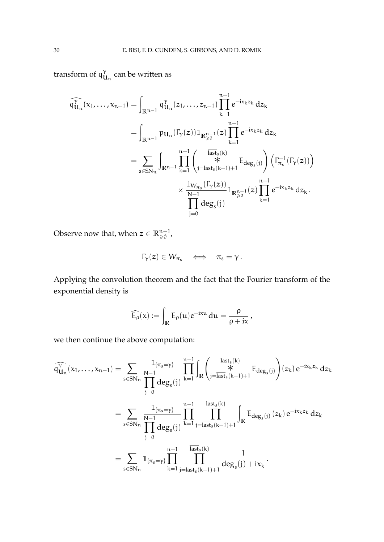transform of  $q_1^{\gamma}$  $\mathbf{u}_{\mathbf{n}}$  can be written as

$$
\widehat{\mathfrak{q}}_{\mathbf{u}_{n}}^{\gamma}(x_{1},...,x_{n-1}) = \int_{\mathbb{R}^{n-1}} \mathfrak{q}_{\mathbf{u}_{n}}^{\gamma}(z_{1},...,z_{n-1}) \prod_{k=1}^{n-1} e^{-ix_{k}z_{k}} \, dz_{k}
$$
\n
$$
= \int_{\mathbb{R}^{n-1}} p_{\mathbf{u}_{n}}(\Gamma_{\gamma}(z)) \mathbb{1}_{\mathbb{R}^{n-1}_{\geq 0}}(z) \prod_{k=1}^{n-1} e^{-ix_{k}z_{k}} \, dz_{k}
$$
\n
$$
= \sum_{s \in SN_{n}} \int_{\mathbb{R}^{n-1}} \prod_{k=1}^{n-1} \left( \frac{\overline{\text{last}}_{s}(k)}{\sum_{j=\text{last}}^{i}(\overline{\text{last}}_{s}(k-1)+1} E_{\text{deg}_{s}(j)}) \right) \left( \Gamma_{\pi_{s}}^{-1}(\Gamma_{\gamma}(z)) \right)
$$
\n
$$
\times \frac{\mathbb{1}_{W_{\pi_{s}}}(\Gamma_{\gamma}(z))}{\prod_{j=0}^{N-1} \text{deg}_{s}(j)} \mathbb{1}_{\mathbb{R}^{n-1}_{\geq 0}}(z) \prod_{k=1}^{n-1} e^{-ix_{k}z_{k}} \, dz_{k}.
$$

Observe now that, when  $\boldsymbol{z} \in \mathbb{R}_{\geqslant 0}^{n-1}$  ,

$$
\Gamma_\gamma(z)\in W_{\pi_s}\quad\Longleftrightarrow\quad \pi_s=\gamma\,.
$$

Applying the convolution theorem and the fact that the Fourier transform of the exponential density is

$$
\widehat{E_{\rho}}(x) := \int_{\mathbb{R}} E_{\rho}(u) e^{-ixu} du = \frac{\rho}{\rho + ix},
$$

we then continue the above computation:

$$
\begin{aligned} \widehat{\mathfrak{q}}_{\mathsf{U}_{n}}^{\gamma}(x_{1},\ldots,x_{n-1})&=\sum_{s\in SN_{n}}\frac{\mathbb{1}_{\{\pi_{s}=\gamma\}}}{\displaystyle\prod_{j=0}^{N-1}deg_{s}(j)}\prod_{k=1}^{n-1}\int_{\mathbb{R}}\Big(\frac{\overline{\mathrm{last}}_{s}(k)}{\sum\limits_{j=\mathrm{last}_{s}(k-1)+1}g_{\mathrm{deg}_{s}(j)}}\Big)(z_{k})\,e^{-ix_{k}z_{k}}\,dz_{k}\\&=\sum_{s\in SN_{n}}\frac{\mathbb{1}_{\{\pi_{s}=\gamma\}}}{\displaystyle\prod_{j=0}^{N-1}deg_{s}(j)}\prod_{k=1}^{n-1}\prod_{j=\mathrm{last}_{s}(k-1)+1}^{\mathrm{last}_{s}(k)}\int_{\mathbb{R}}E_{deg_{s}(j)}\,(z_{k})\,e^{-ix_{k}z_{k}}\,dz_{k}\\&=\sum_{s\in SN_{n}}\frac{\mathbb{1}_{\{\pi_{s}=\gamma\}}\prod_{k=1}^{n-1}\prod_{j=\mathrm{last}_{s}(k-1)+1}^{\mathrm{last}_{s}(k)}\frac{1}{deg_{s}(j)+ix_{k}}\,.\end{aligned}
$$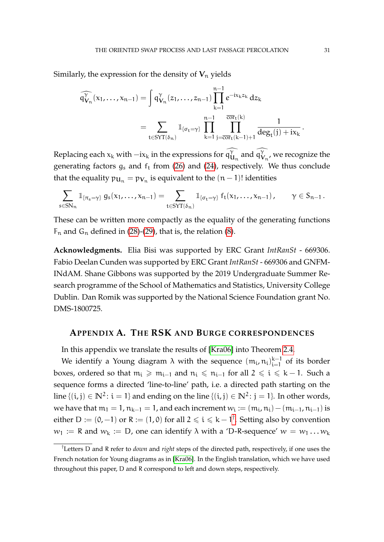Similarly, the expression for the density of  $V_n$  yields

$$
\widehat{\mathfrak{q}_{V_n}^{\gamma}}(x_1, \ldots, x_{n-1}) = \int \mathfrak{q}_{V_n}^{\gamma}(z_1, \ldots, z_{n-1}) \prod_{k=1}^{n-1} e^{-ix_k z_k} \, dz_k
$$
\n
$$
= \sum_{t \in SYT(\delta_n)} \mathbb{1}_{\{\sigma_t = \gamma\}} \prod_{k=1}^{n-1} \prod_{j = \overline{cor}_t(k-1)+1}^{\overline{cor}_t(k)} \frac{1}{\deg_t(j) + ix_k}.
$$

Replacing each  $x_k$  with  $-ix_k$  in the expressions for  $\widehat{\mathfrak{qU}}_n$  and  $\widehat{\mathfrak{qV}}_n$ , we recognize the generating factors  $g_s$  and  $f_t$  from [\(26\)](#page-19-1) and [\(24\)](#page-17-1), respectively. We thus conclude that the equality  $\mathfrak{p}_{\mathbf{U}_\mathfrak{n}}=\mathfrak{p}_{\mathbf{V}_\mathfrak{n}}$  is equivalent to the  $(\mathfrak{n}-1)!$  identities

$$
\sum_{s\in SN_n} \mathbb{1}_{\{\pi_s=\gamma\}}\ g_s(x_1,\ldots,x_{n-1})=\sum_{t\in SYT(\delta_n)} \mathbb{1}_{\{\sigma_t=\gamma\}}\ f_t(x_1,\ldots,x_{n-1})\,,\qquad \gamma\in S_{n-1}\,.
$$

These can be written more compactly as the equality of the generating functions  $F_n$  and  $G_n$  defined in [\(28\)](#page-22-2)-[\(29\)](#page-22-3), that is, the relation [\(8\)](#page-6-2).

**Acknowledgments.** Elia Bisi was supported by ERC Grant *IntRanSt* - 669306. Fabio Deelan Cunden was supported by ERC Grant *IntRanSt* - 669306 and GNFM-INdAM. Shane Gibbons was supported by the 2019 Undergraduate Summer Research programme of the School of Mathematics and Statistics, University College Dublin. Dan Romik was supported by the National Science Foundation grant No. DMS-1800725.

### <span id="page-30-0"></span>**APPENDIX A. THE RSK AND BURGE CORRESPONDENCES**

In this appendix we translate the results of [\[Kra06\]](#page-34-4) into Theorem [2.4.](#page-11-0)

We identify a Young diagram  $\lambda$  with the sequence  $(m_i, n_i)_{i=1}^{k-1}$  $\sum_{i=1}^{K-1}$  of its border boxes, ordered so that  $m_i \ge m_{i-1}$  and  $n_i \le n_{i-1}$  for all  $2 \le i \le k-1$ . Such a sequence forms a directed 'line-to-line' path, i.e. a directed path starting on the line  $\{(i, j) \in \mathbb{N}^2 \colon i = 1\}$  and ending on the line  $\{(i, j) \in \mathbb{N}^2 \colon j = 1\}$ . In other words, we have that  $m_1 = 1$ ,  $n_{k-1} = 1$ , and each increment  $w_i := (m_i, n_i) - (m_{i-1}, n_{i-1})$  is either D := (0,−1) or R := (1,0) for all 2  $\leqslant$  i  $\leqslant$  k − 1<sup>[†](#page-30-1)</sup>. Setting also by convention  $w_1 := R$  and  $w_k := D$ , one can identify  $\lambda$  with a 'D-R-sequence'  $w = w_1 \dots w_k$ 

<span id="page-30-1"></span><sup>†</sup>Letters D and R refer to *down* and *right* steps of the directed path, respectively, if one uses the French notation for Young diagrams as in [\[Kra06\]](#page-34-4). In the English translation, which we have used throughout this paper, D and R correspond to left and down steps, respectively.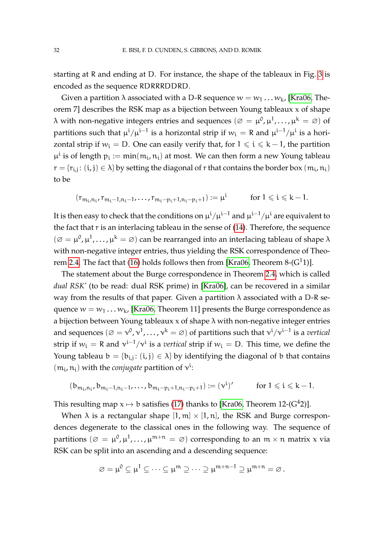starting at R and ending at D. For instance, the shape of the tableaux in Fig. [3](#page-14-0) is encoded as the sequence RDRRRDDRD.

Given a partition  $\lambda$  associated with a D-R sequence  $w = w_1 \dots w_k$  [\[Kra06,](#page-34-4) Theorem 7] describes the RSK map as a bijection between Young tableaux x of shape  $\lambda$  with non-negative integers entries and sequences  $(\varnothing=\mu^0,\mu^1,\ldots,\mu^k=\varnothing)$  of partitions such that  $\mu^i/\mu^{i-1}$  is a horizontal strip if  $w_i =$  R and  $\mu^{i-1}/\mu^i$  is a horizontal strip if  $w_i = D$ . One can easily verify that, for  $1 \leq i \leq k - 1$ , the partition  $\mu^i$  is of length  $p_i := min(m_i, n_i)$  at most. We can then form a new Young tableau  $r = \{r_{i,j} \colon (i,j) \in \lambda\}$  by setting the diagonal of  $r$  that contains the border box  $(m_i, n_i)$ to be

$$
(r_{m_i,n_i},r_{m_i-1,n_i-1},\ldots,r_{m_i-p_i+1,n_i-p_i+1}):=\mu^i\qquad\quad\text{for }1\leqslant i\leqslant k-1.
$$

It is then easy to check that the conditions on  $\mu^{\rm i}/\mu^{\rm i-1}$  and  $\mu^{\rm i-1}/\mu^{\rm i}$  are equivalent to the fact that r is an interlacing tableau in the sense of [\(14\)](#page-9-1). Therefore, the sequence  $(\varnothing = \mu^0, \mu^1, \ldots, \mu^k = \varnothing)$  can be rearranged into an interlacing tableau of shape  $\lambda$ with non-negative integer entries, thus yielding the RSK correspondence of Theo-rem [2.4.](#page-11-0) The fact that [\(16\)](#page-12-0) holds follows then from [\[Kra06,](#page-34-4) Theorem 8- $(G<sup>1</sup>1)$ ].

The statement about the Burge correspondence in Theorem [2.4,](#page-11-0) which is called *dual RSK'* (to be read: dual RSK prime) in [\[Kra06\]](#page-34-4), can be recovered in a similar way from the results of that paper. Given a partition  $\lambda$  associated with a D-R sequence  $w = w_1 \dots w_k$ , [\[Kra06,](#page-34-4) Theorem 11] presents the Burge correspondence as a bijection between Young tableaux  $x$  of shape  $\lambda$  with non-negative integer entries and sequences  $(\varnothing = \mathsf{v}^0, \mathsf{v}^1, \dots, \mathsf{v}^k = \varnothing)$  of partitions such that  $\mathsf{v}^{\mathsf{i}}/\mathsf{v}^{\mathsf{i}-1}$  is a vertical strip if  $w_i = R$  and  $v^{i-1}/v^i$  is a *vertical* strip if  $w_i = D$ . This time, we define the Young tableau  $b = \{b_{i,j}: (i,j) \in \lambda\}$  by identifying the diagonal of b that contains  $(m_i, n_i)$  with the *conjugate* partition of  $v^i$ :

$$
(\textbf{b}_{m_i,n_i},\textbf{b}_{m_i-1,n_i-1},\ldots,\textbf{b}_{m_i-p_i+1,n_i-p_i+1}):=(\nu^i)'\qquad \text{ for }1\leqslant i\leqslant k-1.
$$

This resulting map  $x \mapsto b$  satisfies [\(17\)](#page-12-1) thanks to [\[Kra06,](#page-34-4) Theorem 12-(G<sup>4</sup>2)].

When  $\lambda$  is a rectangular shape [1, m]  $\times$  [1, n], the RSK and Burge correspondences degenerate to the classical ones in the following way. The sequence of partitions  $(\varnothing\,=\,\mu^0,\mu^1,\ldots,\mu^{m+n}\,=\,\varnothing)$  corresponding to an  $\mathfrak{m}\times\mathfrak{n}$  matrix  $\chi$  via RSK can be split into an ascending and a descending sequence:

$$
\varnothing=\mu^0\subseteq\mu^1\subseteq\cdots\subseteq\mu^m\supseteq\cdots\supseteq\mu^{m+n-1}\supseteq\mu^{m+n}\varnothing\,.
$$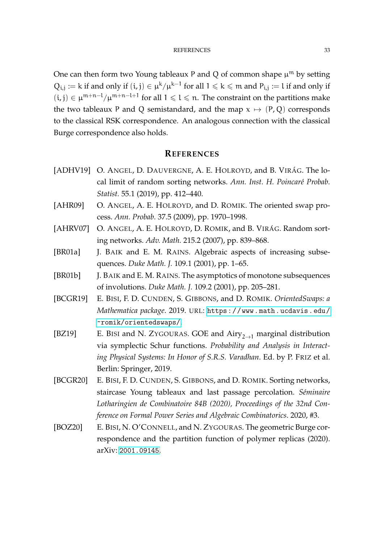One can then form two Young tableaux P and Q of common shape  $\mu^m$  by setting  $Q_{i,j} := k$  if and only if  $(i, j) \in \mu^k / \mu^{k-1}$  for all  $1 \leqslant k \leqslant m$  and  $P_{i,j} := l$  if and only if (i, j) ∈  $\mu^{m+n-l}/\mu^{m+n-l+1}$  for all  $1 \leq l \leq n$ . The constraint on the partitions make the two tableaux P and Q semistandard, and the map  $x \mapsto (P, Q)$  corresponds to the classical RSK correspondence. An analogous connection with the classical Burge correspondence also holds.

# **REFERENCES**

- <span id="page-32-0"></span>[ADHV19] O. ANGEL, D. DAUVERGNE, A. E. HOLROYD, and B. VIRÁG. The local limit of random sorting networks. Ann. Inst. H. Poincaré Probab. *Statist.* 55.1 (2019), pp. 412–440.
- <span id="page-32-2"></span>[AHR09] O. ANGEL, A. E. HOLROYD, and D. ROMIK. The oriented swap process. *Ann. Probab.* 37.5 (2009), pp. 1970–1998.
- <span id="page-32-1"></span>[AHRV07] O. ANGEL, A. E. HOLROYD, D. ROMIK, and B. VIRÁG. Random sorting networks. *Adv. Math.* 215.2 (2007), pp. 839–868.
- <span id="page-32-4"></span>[BR01a] J. BAIK and E. M. RAINS. Algebraic aspects of increasing subsequences. *Duke Math. J.* 109.1 (2001), pp. 1–65.
- <span id="page-32-5"></span>[BR01b] J. BAIK and E. M. RAINS. The asymptotics of monotone subsequences of involutions. *Duke Math. J.* 109.2 (2001), pp. 205–281.
- <span id="page-32-8"></span>[BCGR19] E. BISI, F. D. CUNDEN, S. GIBBONS, and D. ROMIK. *OrientedSwaps: a Mathematica package*. 2019. URL: [https://www.math.ucdavis.edu/](https://www.math.ucdavis.edu/~romik/orientedswaps/) [~romik/orientedswaps/](https://www.math.ucdavis.edu/~romik/orientedswaps/).
- <span id="page-32-6"></span>[BZ19] E. BISI and N. ZYGOURAS. GOE and  $Airy_{2\rightarrow1}$  marginal distribution via symplectic Schur functions. *Probability and Analysis in Interacting Physical Systems: In Honor of S.R.S. Varadhan*. Ed. by P. FRIZ et al. Berlin: Springer, 2019.
- <span id="page-32-3"></span>[BCGR20] E. BISI, F. D. CUNDEN, S. GIBBONS, and D. ROMIK. Sorting networks, staircase Young tableaux and last passage percolation. *S´eminaire Lotharingien de Combinatoire 84B (2020), Proceedings of the 32nd Conference on Formal Power Series and Algebraic Combinatorics*. 2020, #3.
- <span id="page-32-7"></span>[BOZ20] E. BISI, N. O'CONNELL, and N. ZYGOURAS. The geometric Burge correspondence and the partition function of polymer replicas (2020). arXiv: [2001.09145](https://arxiv.org/abs/2001.09145).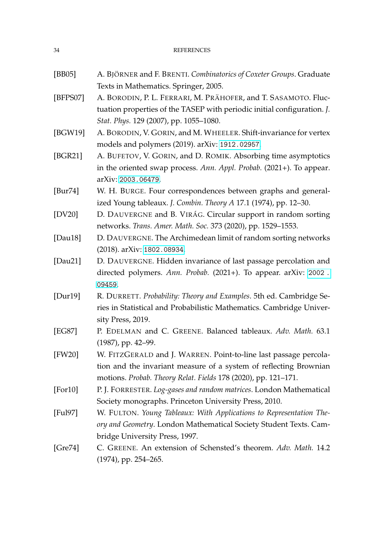- <span id="page-33-13"></span>[BB05] A. BJÖRNER and F. BRENTI. *Combinatorics of Coxeter Groups*. Graduate Texts in Mathematics. Springer, 2005.
- <span id="page-33-6"></span>[BFPS07] A. BORODIN, P. L. FERRARI, M. PRÄHOFER, and T. SASAMOTO. Fluctuation properties of the TASEP with periodic initial configuration. *J. Stat. Phys.* 129 (2007), pp. 1055–1080.
- <span id="page-33-3"></span>[BGW19] A. BORODIN, V. GORIN, and M. WHEELER. Shift-invariance for vertex models and polymers (2019). arXiv: [1912.02957](https://arxiv.org/abs/1912.02957).
- <span id="page-33-8"></span>[BGR21] A. BUFETOV, V. GORIN, and D. ROMIK. Absorbing time asymptotics in the oriented swap process. *Ann. Appl. Probab.* (2021+). To appear. arXiv: [2003.06479](https://arxiv.org/abs/2003.06479).
- <span id="page-33-10"></span>[Bur74] W. H. BURGE. Four correspondences between graphs and generalized Young tableaux. *J. Combin. Theory A* 17.1 (1974), pp. 12–30.
- <span id="page-33-1"></span>[DV20] D. DAUVERGNE and B. VIRÁG. Circular support in random sorting networks. *Trans. Amer. Math. Soc.* 373 (2020), pp. 1529–1553.
- <span id="page-33-0"></span>[Dau18] D. DAUVERGNE. The Archimedean limit of random sorting networks (2018). arXiv: [1802.08934](https://arxiv.org/abs/1802.08934).
- <span id="page-33-4"></span>[Dau21] D. DAUVERGNE. Hidden invariance of last passage percolation and directed polymers. *Ann. Probab.* (2021+). To appear. arXiv: [2002 .](https://arxiv.org/abs/2002.09459) [09459](https://arxiv.org/abs/2002.09459).
- <span id="page-33-12"></span>[Dur19] R. DURRETT. *Probability: Theory and Examples*. 5th ed. Cambridge Series in Statistical and Probabilistic Mathematics. Cambridge University Press, 2019.
- <span id="page-33-2"></span>[EG87] P. EDELMAN and C. GREENE. Balanced tableaux. *Adv. Math.* 63.1 (1987), pp. 42–99.
- <span id="page-33-5"></span>[FW20] W. FITZGERALD and J. WARREN. Point-to-line last passage percolation and the invariant measure of a system of reflecting Brownian motions. *Probab. Theory Relat. Fields* 178 (2020), pp. 121–171.
- <span id="page-33-7"></span>[For10] P. J. FORRESTER. *Log-gases and random matrices*. London Mathematical Society monographs. Princeton University Press, 2010.
- <span id="page-33-11"></span>[Ful97] W. FULTON. *Young Tableaux: With Applications to Representation Theory and Geometry*. London Mathematical Society Student Texts. Cambridge University Press, 1997.
- <span id="page-33-9"></span>[Gre74] C. GREENE. An extension of Schensted's theorem. *Adv. Math.* 14.2 (1974), pp. 254–265.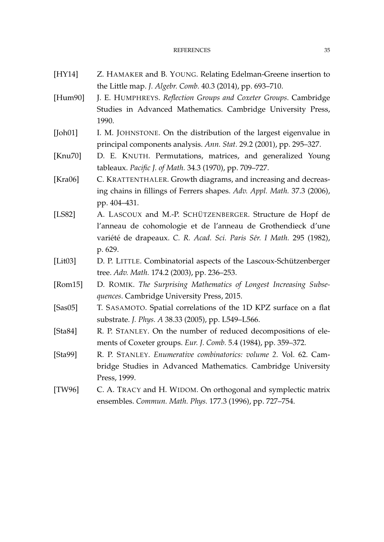#### REFERENCES 35

- <span id="page-34-9"></span>[HY14] Z. HAMAKER and B. YOUNG. Relating Edelman-Greene insertion to the Little map. *J. Algebr. Comb.* 40.3 (2014), pp. 693–710.
- <span id="page-34-7"></span>[Hum90] J. E. HUMPHREYS. *Reflection Groups and Coxeter Groups*. Cambridge Studies in Advanced Mathematics. Cambridge University Press, 1990.
- <span id="page-34-2"></span>[Joh01] I. M. JOHNSTONE. On the distribution of the largest eigenvalue in principal components analysis. *Ann. Stat.* 29.2 (2001), pp. 295–327.
- <span id="page-34-5"></span>[Knu70] D. E. KNUTH. Permutations, matrices, and generalized Young tableaux. *Pacific J. of Math.* 34.3 (1970), pp. 709–727.
- <span id="page-34-4"></span>[Kra06] C. KRATTENTHALER. Growth diagrams, and increasing and decreasing chains in fillings of Ferrers shapes. *Adv. Appl. Math.* 37.3 (2006), pp. 404–431.
- <span id="page-34-10"></span>[LS82] A. LASCOUX and M.-P. SCHÜTZENBERGER. Structure de Hopf de l'anneau de cohomologie et de l'anneau de Grothendieck d'une variété de drapeaux. C. R. Acad. Sci. Paris Sér. I Math. 295 (1982), p. 629.
- <span id="page-34-11"></span>[Lit03] D. P. LITTLE. Combinatorial aspects of the Lascoux-Schützenberger tree. *Adv. Math.* 174.2 (2003), pp. 236–253.
- <span id="page-34-0"></span>[Rom15] D. ROMIK. *The Surprising Mathematics of Longest Increasing Subsequences*. Cambridge University Press, 2015.
- <span id="page-34-3"></span>[Sas05] T. SASAMOTO. Spatial correlations of the 1D KPZ surface on a flat substrate. *J. Phys. A* 38.33 (2005), pp. L549–L566.
- <span id="page-34-8"></span>[Sta84] R. P. STANLEY. On the number of reduced decompositions of elements of Coxeter groups. *Eur. J. Comb.* 5.4 (1984), pp. 359–372.
- <span id="page-34-6"></span>[Sta99] R. P. STANLEY. *Enumerative combinatorics: volume 2*. Vol. 62. Cambridge Studies in Advanced Mathematics. Cambridge University Press, 1999.
- <span id="page-34-1"></span>[TW96] C. A. TRACY and H. WIDOM. On orthogonal and symplectic matrix ensembles. *Commun. Math. Phys.* 177.3 (1996), pp. 727–754.